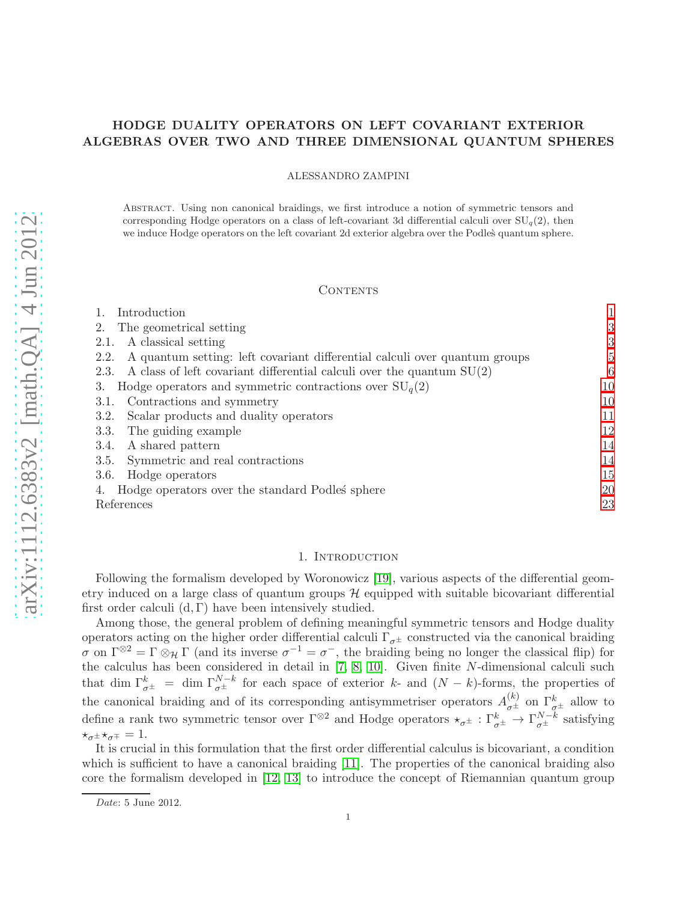# HODGE DUALITY OPERATORS ON LEFT COVARIANT EXTERIOR ALGEBRAS OVER TWO AND THREE DIMENSIONAL QUANTUM SPHERES

ALESSANDRO ZAMPINI

Abstract. Using non canonical braidings, we first introduce a notion of symmetric tensors and corresponding Hodge operators on a class of left-covariant 3d differential calculi over  $SU_q(2)$ , then we induce Hodge operators on the left covariant 2d exterior algebra over the Podles quantum sphere.

#### CONTENTS

| Introduction                                                                       |                |
|------------------------------------------------------------------------------------|----------------|
| The geometrical setting<br>2.                                                      | 3              |
| A classical setting<br>2.1.                                                        | 3              |
| A quantum setting: left covariant differential calculi over quantum groups<br>2.2. | $\overline{5}$ |
| A class of left covariant differential calculi over the quantum $SU(2)$<br>2.3.    | 6              |
| Hodge operators and symmetric contractions over $SU_q(2)$<br>3.                    | 10             |
| Contractions and symmetry<br>3.1.                                                  | 10             |
| Scalar products and duality operators<br>3.2.                                      | 11             |
| The guiding example<br>3.3.                                                        | 12             |
| A shared pattern<br>3.4.                                                           | 14             |
| Symmetric and real contractions<br>3.5.                                            | 14             |
| Hodge operators<br>3.6.                                                            | 15             |
| Hodge operators over the standard Podles sphere                                    | 20             |
| References                                                                         | 23             |

## 1. INTRODUCTION

<span id="page-0-0"></span>Following the formalism developed by Woronowicz [\[19\]](#page-22-1), various aspects of the differential geometry induced on a large class of quantum groups  $\mathcal H$  equipped with suitable bicovariant differential first order calculi  $(d, \Gamma)$  have been intensively studied.

Among those, the general problem of defining meaningful symmetric tensors and Hodge duality operators acting on the higher order differential calculi  $\Gamma_{\sigma^{\pm}}$  constructed via the canonical braiding  $\sigma$  on  $\Gamma^{\otimes 2} = \Gamma \otimes_{\mathcal{H}} \Gamma$  (and its inverse  $\sigma^{-1} = \sigma^{-}$ , the braiding being no longer the classical flip) for the calculus has been considered in detail in [\[7,](#page-22-2) [8,](#page-22-3) [10\]](#page-22-4). Given finite N-dimensional calculi such that dim  $\Gamma_{\sigma^{\pm}}^{k}$  = dim  $\Gamma_{\sigma^{\pm}}^{N-k}$  for each space of exterior k- and  $(N-k)$ -forms, the properties of the canonical braiding and of its corresponding antisymmetriser operators  $A_{\sigma^{\pm}}^{(k)}$  on  $\Gamma_{\sigma^{\pm}}^{k}$  allow to define a rank two symmetric tensor over  $\Gamma^{\otimes 2}$  and Hodge operators  $\star_{\sigma^{\pm}} : \Gamma_{\sigma^{\pm}}^k \to \Gamma_{\sigma^{\pm}}^{N-k}$  satisfying  $\star_{\sigma^{\pm}}\star_{\sigma^{\mp}}=1.$ 

It is crucial in this formulation that the first order differential calculus is bicovariant, a condition which is sufficient to have a canonical braiding  $[11]$ . The properties of the canonical braiding also core the formalism developed in [\[12,](#page-22-6) [13\]](#page-22-7) to introduce the concept of Riemannian quantum group

Date: 5 June 2012.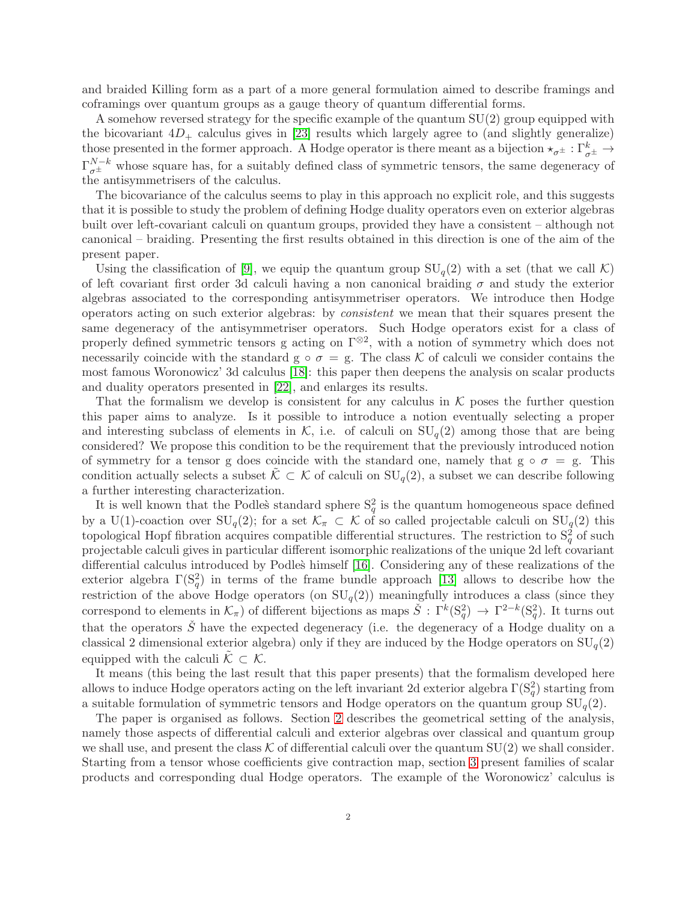and braided Killing form as a part of a more general formulation aimed to describe framings and coframings over quantum groups as a gauge theory of quantum differential forms.

A somehow reversed strategy for the specific example of the quantum SU(2) group equipped with the bicovariant  $4D_+$  calculus gives in [\[23\]](#page-22-8) results which largely agree to (and slightly generalize) those presented in the former approach. A Hodge operator is there meant as a bijection  $\star_{\sigma^{\pm}} : \Gamma^k_{\sigma^{\pm}} \to$  $\Gamma_{\sigma^{\pm}}^{N-k}$  whose square has, for a suitably defined class of symmetric tensors, the same degeneracy of the antisymmetrisers of the calculus.

The bicovariance of the calculus seems to play in this approach no explicit role, and this suggests that it is possible to study the problem of defining Hodge duality operators even on exterior algebras built over left-covariant calculi on quantum groups, provided they have a consistent – although not canonical – braiding. Presenting the first results obtained in this direction is one of the aim of the present paper.

Using the classification of [\[9\]](#page-22-9), we equip the quantum group  $SU_q(2)$  with a set (that we call K) of left covariant first order 3d calculi having a non canonical braiding  $\sigma$  and study the exterior algebras associated to the corresponding antisymmetriser operators. We introduce then Hodge operators acting on such exterior algebras: by consistent we mean that their squares present the same degeneracy of the antisymmetriser operators. Such Hodge operators exist for a class of properly defined symmetric tensors g acting on  $\Gamma^{\otimes 2}$ , with a notion of symmetry which does not necessarily coincide with the standard  $g \circ \sigma = g$ . The class K of calculi we consider contains the most famous Woronowicz' 3d calculus [\[18\]](#page-22-10): this paper then deepens the analysis on scalar products and duality operators presented in [\[22\]](#page-22-11), and enlarges its results.

That the formalism we develop is consistent for any calculus in  $K$  poses the further question this paper aims to analyze. Is it possible to introduce a notion eventually selecting a proper and interesting subclass of elements in K, i.e. of calculi on  $SU_q(2)$  among those that are being considered? We propose this condition to be the requirement that the previously introduced notion of symmetry for a tensor g does coincide with the standard one, namely that  $g \circ \sigma = g$ . This condition actually selects a subset  $K \subset K$  of calculi on  $SU_q(2)$ , a subset we can describe following a further interesting characterization.

It is well known that the Podle's standard sphere  $S_q^2$  is the quantum homogeneous space defined by a U(1)-coaction over  $SU_q(2)$ ; for a set  $\mathcal{K}_\pi \subset \mathcal{K}$  of so called projectable calculi on  $SU_q(2)$  this topological Hopf fibration acquires compatible differential structures. The restriction to  $S_q^2$  of such projectable calculi gives in particular different isomorphic realizations of the unique 2d left covariant differential calculus introduced by Podles` himself [\[16\]](#page-22-12). Considering any of these realizations of the exterior algebra  $\Gamma(\mathcal{S}_q^2)$  in terms of the frame bundle approach [\[13\]](#page-22-7) allows to describe how the restriction of the above Hodge operators (on  $SU_q(2)$ ) meaningfully introduces a class (since they correspond to elements in  $\mathcal{K}_{\pi}$ ) of different bijections as maps  $\check{S}: \Gamma^k(S_q^2) \to \Gamma^{2-k}(S_q^2)$ . It turns out that the operators  $\check{S}$  have the expected degeneracy (i.e. the degeneracy of a Hodge duality on a classical 2 dimensional exterior algebra) only if they are induced by the Hodge operators on  $SU_q(2)$ equipped with the calculi  $\tilde{\mathcal{K}} \subset \mathcal{K}$ .

It means (this being the last result that this paper presents) that the formalism developed here allows to induce Hodge operators acting on the left invariant 2d exterior algebra  $\Gamma(\mathrm{S}_q^2)$  starting from a suitable formulation of symmetric tensors and Hodge operators on the quantum group  $SU_q(2)$ .

The paper is organised as follows. Section [2](#page-2-0) describes the geometrical setting of the analysis, namely those aspects of differential calculi and exterior algebras over classical and quantum group we shall use, and present the class  $K$  of differential calculi over the quantum  $SU(2)$  we shall consider. Starting from a tensor whose coefficients give contraction map, section [3](#page-9-0) present families of scalar products and corresponding dual Hodge operators. The example of the Woronowicz' calculus is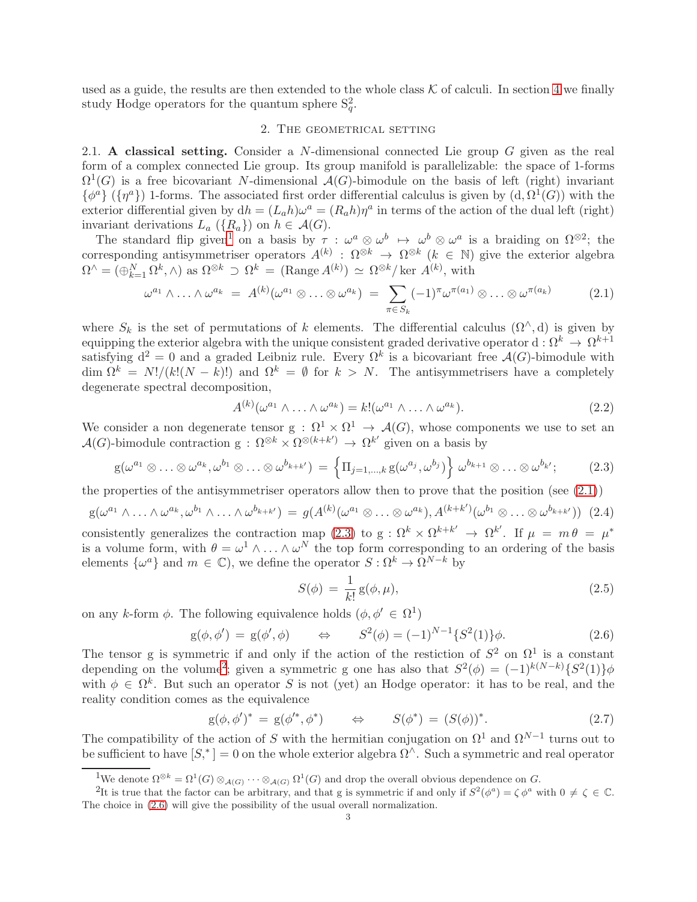<span id="page-2-0"></span>used as a guide, the results are then extended to the whole class  $K$  of calculi. In section [4](#page-19-0) we finally study Hodge operators for the quantum sphere  $S_q^2$ .

### 2. The geometrical setting

<span id="page-2-1"></span>2.1. A classical setting. Consider a N-dimensional connected Lie group  $G$  given as the real form of a complex connected Lie group. Its group manifold is parallelizable: the space of 1-forms  $\Omega^1(G)$  is a free bicovariant N-dimensional  $\mathcal{A}(G)$ -bimodule on the basis of left (right) invariant  $\{\phi^a\}$  ( $\{\eta^a\}$ ) 1-forms. The associated first order differential calculus is given by  $(d, \Omega^1(G))$  with the exterior differential given by  $dh = (L_a h)\omega^a = (R_a h)\eta^a$  in terms of the action of the dual left (right) invariant derivations  $L_a \left( \{ R_a \} \right)$  on  $h \in \mathcal{A}(G)$ .

The standard flip given<sup>[1](#page-2-2)</sup> on a basis by  $\tau : \omega^a \otimes \omega^b \mapsto \omega^b \otimes \omega^a$  is a braiding on  $\Omega^{\otimes 2}$ ; the corresponding antisymmetriser operators  $A^{(k)}$ :  $\Omega^{\otimes k} \to \Omega^{\otimes k}$  ( $k \in \mathbb{N}$ ) give the exterior algebra  $\Omega^{\wedge} = (\bigoplus_{k=1}^{N} \Omega^{k}, \wedge)$  as  $\Omega^{\otimes k} \supset \Omega^{k} = (\text{Range } A^{(k)}) \simeq \Omega^{\otimes k} / \text{ker } A^{(k)},$  with

<span id="page-2-3"></span>
$$
\omega^{a_1} \wedge \ldots \wedge \omega^{a_k} = A^{(k)}(\omega^{a_1} \otimes \ldots \otimes \omega^{a_k}) = \sum_{\pi \in S_k} (-1)^{\pi} \omega^{\pi(a_1)} \otimes \ldots \otimes \omega^{\pi(a_k)} \qquad (2.1)
$$

where  $S_k$  is the set of permutations of k elements. The differential calculus  $(\Omega^{\wedge}, d)$  is given by equipping the exterior algebra with the unique consistent graded derivative operator  $d: \Omega^k \to \Omega^{k+1}$ satisfying  $d^2 = 0$  and a graded Leibniz rule. Every  $\Omega^k$  is a bicovariant free  $\mathcal{A}(G)$ -bimodule with  $\dim \Omega^k = N!/(k!(N-k)!)$  and  $\Omega^k = \emptyset$  for  $k > N$ . The antisymmetrisers have a completely degenerate spectral decomposition,

$$
A^{(k)}(\omega^{a_1} \wedge \ldots \wedge \omega^{a_k}) = k! (\omega^{a_1} \wedge \ldots \wedge \omega^{a_k}).
$$
\n(2.2)

We consider a non degenerate tensor  $g: \Omega^1 \times \Omega^1 \to \mathcal{A}(G)$ , whose components we use to set an  $\mathcal{A}(G)$ -bimodule contraction  $g: \Omega^{\otimes k} \times \Omega^{\otimes (k+k')} \to \Omega^{k'}$  given on a basis by

<span id="page-2-4"></span>
$$
g(\omega^{a_1} \otimes \ldots \otimes \omega^{a_k}, \omega^{b_1} \otimes \ldots \otimes \omega^{b_{k+k'}}) = \left\{ \Pi_{j=1,\ldots,k} g(\omega^{a_j}, \omega^{b_j}) \right\} \omega^{b_{k+1}} \otimes \ldots \otimes \omega^{b_{k'}}; \tag{2.3}
$$

the properties of the antisymmetriser operators allow then to prove that the position (see  $(2.1)$ )

<span id="page-2-8"></span>
$$
g(\omega^{a_1} \wedge \ldots \wedge \omega^{a_k}, \omega^{b_1} \wedge \ldots \wedge \omega^{b_{k+k'}}) = g(A^{(k)}(\omega^{a_1} \otimes \ldots \otimes \omega^{a_k}), A^{(k+k')}(\omega^{b_1} \otimes \ldots \otimes \omega^{b_{k+k'}})) \tag{2.4}
$$

consistently generalizes the contraction map [\(2.3\)](#page-2-4) to g :  $\Omega^k \times \Omega^{k+k'} \to \Omega^{k'}$ . If  $\mu = m\theta = \mu^*$ is a volume form, with  $\theta = \omega^1 \wedge \ldots \wedge \omega^N$  the top form corresponding to an ordering of the basis elements  $\{\omega^a\}$  and  $m \in \mathbb{C}$ , we define the operator  $S: \Omega^k \to \Omega^{N-k}$  by

<span id="page-2-7"></span>
$$
S(\phi) = \frac{1}{k!} \operatorname{g}(\phi, \mu), \tag{2.5}
$$

on any k-form  $\phi$ . The following equivalence holds  $(\phi, \phi' \in \Omega^1)$ 

<span id="page-2-6"></span>
$$
g(\phi, \phi') = g(\phi', \phi) \qquad \Leftrightarrow \qquad S^2(\phi) = (-1)^{N-1} \{ S^2(1) \} \phi. \tag{2.6}
$$

The tensor g is symmetric if and only if the action of the restiction of  $S^2$  on  $\Omega^1$  is a constant depending on the volume<sup>[2](#page-2-5)</sup>; given a symmetric g one has also that  $S^2(\phi) = (-1)^{k(N-k)} \{S^2(1)\}\phi$ with  $\phi \in \Omega^k$ . But such an operator S is not (yet) an Hodge operator: it has to be real, and the reality condition comes as the equivalence

$$
g(\phi, \phi')^* = g(\phi'^*, \phi^*) \qquad \Leftrightarrow \qquad S(\phi^*) = (S(\phi))^*.
$$
 (2.7)

The compatibility of the action of S with the hermitian conjugation on  $\Omega^1$  and  $\Omega^{N-1}$  turns out to be sufficient to have  $[S^*]=0$  on the whole exterior algebra  $\Omega^{\wedge}$ . Such a symmetric and real operator

<span id="page-2-2"></span><sup>&</sup>lt;sup>1</sup>We denote  $\Omega^{\otimes k} = \Omega^1(G) \otimes_{\mathcal{A}(G)} \cdots \otimes_{\mathcal{A}(G)} \Omega^1(G)$  and drop the overall obvious dependence on G.

<span id="page-2-5"></span><sup>&</sup>lt;sup>2</sup>It is true that the factor can be arbitrary, and that g is symmetric if and only if  $S^2(\phi^a) = \zeta \phi^a$  with  $0 \neq \zeta \in \mathbb{C}$ . The choice in [\(2.6\)](#page-2-6) will give the possibility of the usual overall normalization.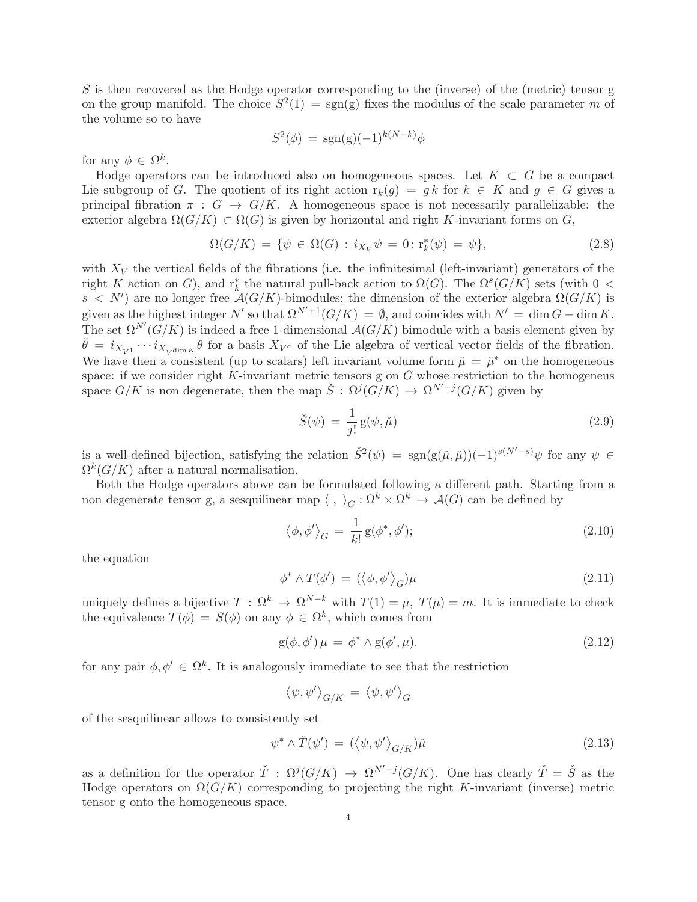S is then recovered as the Hodge operator corresponding to the (inverse) of the (metric) tensor g on the group manifold. The choice  $S^2(1) = sgn(g)$  fixes the modulus of the scale parameter m of the volume so to have

$$
S^2(\phi) = \text{sgn}(\mathbf{g})(-1)^{k(N-k)}\phi
$$

for any  $\phi \in \Omega^k$ .

Hodge operators can be introduced also on homogeneous spaces. Let  $K \subset G$  be a compact Lie subgroup of G. The quotient of its right action  $r_k(q) = q k$  for  $k \in K$  and  $q \in G$  gives a principal fibration  $\pi : G \to G/K$ . A homogeneous space is not necessarily parallelizable: the exterior algebra  $\Omega(G/K) \subset \Omega(G)$  is given by horizontal and right K-invariant forms on G,

<span id="page-3-1"></span>
$$
\Omega(G/K) = \{ \psi \in \Omega(G) : i_{X_V} \psi = 0; \, \text{r}_k^*(\psi) = \psi \},\tag{2.8}
$$

with  $X_V$  the vertical fields of the fibrations (i.e. the infinitesimal (left-invariant) generators of the right K action on G), and  $r_k^*$  the natural pull-back action to  $\Omega(G)$ . The  $\Omega^s(G/K)$  sets (with  $0 <$  $s \leq N'$  are no longer free  $A(G/K)$ -bimodules; the dimension of the exterior algebra  $\Omega(G/K)$  is given as the highest integer N' so that  $\Omega^{N'+1}(G/K) = \emptyset$ , and coincides with  $N' = \dim G - \dim K$ . The set  $\Omega^{N'}(G/K)$  is indeed a free 1-dimensional  $\mathcal{A}(G/K)$  bimodule with a basis element given by  $\check{\theta} = i_{X_{V^1}} \cdots i_{X_{V^{\dim K}} \theta}$  for a basis  $X_{V^a}$  of the Lie algebra of vertical vector fields of the fibration. We have then a consistent (up to scalars) left invariant volume form  $\tilde{\mu} = \tilde{\mu}^*$  on the homogeneous space: if we consider right  $K$ -invariant metric tensors g on  $G$  whose restriction to the homogeneus space  $G/K$  is non degenerate, then the map  $\check{S}: \Omega^j(G/K) \to \Omega^{N'-j}(G/K)$  given by

$$
\check{S}(\psi) = \frac{1}{j!} g(\psi, \check{\mu}) \tag{2.9}
$$

is a well-defined bijection, satisfying the relation  $\check{S}^2(\psi) = \text{sgn}(g(\check{\mu}, \check{\mu}))(-1)^{s(N'-s)}\psi$  for any  $\psi \in$  $\Omega^k(G/K)$  after a natural normalisation.

Both the Hodge operators above can be formulated following a different path. Starting from a non degenerate tensor g, a sesquilinear map  $\langle , \ \rangle_G : \Omega^k \times \Omega^k \to \mathcal{A}(G)$  can be defined by

$$
\langle \phi, \phi' \rangle_G = \frac{1}{k!} \operatorname{g}(\phi^*, \phi');\tag{2.10}
$$

the equation

<span id="page-3-0"></span>
$$
\phi^* \wedge T(\phi') = (\langle \phi, \phi' \rangle_G) \mu \tag{2.11}
$$

uniquely defines a bijective  $T : \Omega^k \to \Omega^{N-k}$  with  $T(1) = \mu$ ,  $T(\mu) = m$ . It is immediate to check the equivalence  $T(\phi) = S(\phi)$  on any  $\phi \in \Omega^k$ , which comes from

$$
g(\phi, \phi')\mu = \phi^* \wedge g(\phi', \mu). \tag{2.12}
$$

for any pair  $\phi, \phi' \in \Omega^k$ . It is analogously immediate to see that the restriction

$$
\left\langle \psi,\psi'\right\rangle_{G/K}\,=\,\left\langle \psi,\psi'\right\rangle_G
$$

of the sesquilinear allows to consistently set

$$
\psi^* \wedge \check{T}(\psi') = (\langle \psi, \psi' \rangle_{G/K})\check{\mu}
$$
\n(2.13)

as a definition for the operator  $\check{T}$ :  $\Omega^{j}(G/K) \to \Omega^{N'-j}(G/K)$ . One has clearly  $\check{T} = \check{S}$  as the Hodge operators on  $\Omega(G/K)$  corresponding to projecting the right K-invariant (inverse) metric tensor g onto the homogeneous space.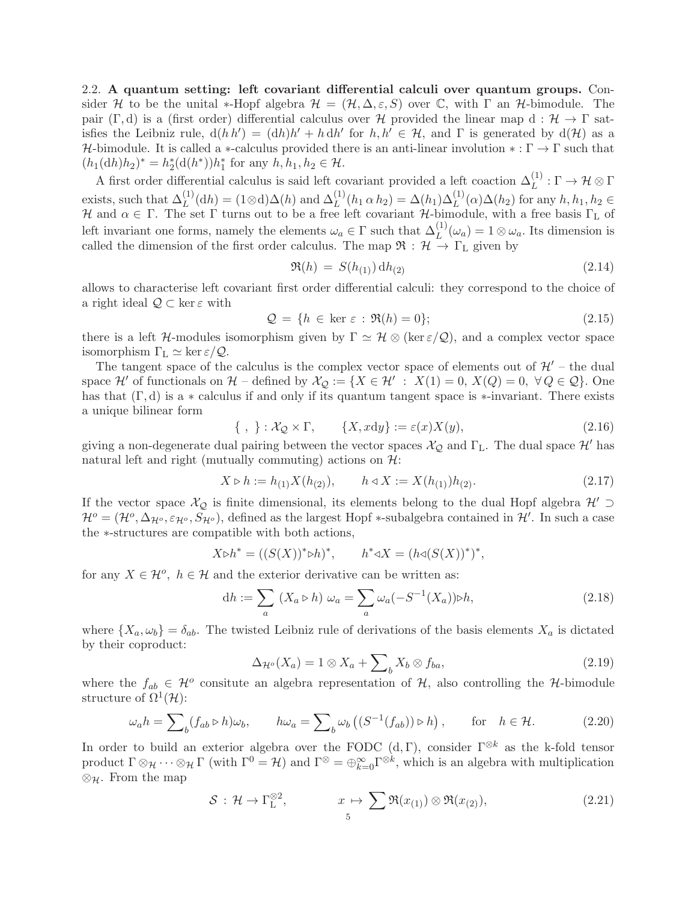<span id="page-4-0"></span>2.2. A quantum setting: left covariant differential calculi over quantum groups. Consider H to be the unital \*-Hopf algebra  $\mathcal{H} = (\mathcal{H}, \Delta, \varepsilon, S)$  over C, with  $\Gamma$  an H-bimodule. The pair (Γ, d) is a (first order) differential calculus over H provided the linear map d:  $H \rightarrow \Gamma$  satisfies the Leibniz rule,  $d(hh') = (dh)h' + h dh'$  for  $h, h' \in H$ , and  $\Gamma$  is generated by  $d(H)$  as a H-bimodule. It is called a \*-calculus provided there is an anti-linear involution \*:  $\Gamma \to \Gamma$  such that  $(h_1(\mathrm{d}h)h_2)^* = h_2^*(\mathrm{d}(h^*))h_1^*$  for any  $h, h_1, h_2 \in \mathcal{H}$ .

A first order differential calculus is said left covariant provided a left coaction  $\Delta_L^{(1)} : \Gamma \to \mathcal{H} \otimes \Gamma$ exists, such that  $\Delta_L^{(1)}(\mathrm{d}h) = (1 \otimes \mathrm{d})\Delta(h)$  and  $\Delta_L^{(1)}(h_1 \alpha h_2) = \Delta(h_1)\Delta_L^{(1)}(\alpha)\Delta(h_2)$  for any  $h, h_1, h_2 \in$ H and  $\alpha \in \Gamma$ . The set  $\Gamma$  turns out to be a free left covariant H-bimodule, with a free basis  $\Gamma_{\text{L}}$  of left invariant one forms, namely the elements  $\omega_a \in \Gamma$  such that  $\Delta_L^{(1)}(\omega_a) = 1 \otimes \omega_a$ . Its dimension is called the dimension of the first order calculus. The map  $\mathfrak{R} : \mathcal{H} \to \Gamma_L$  given by

$$
\Re(h) = S(h_{(1)}) \, dh_{(2)} \tag{2.14}
$$

allows to characterise left covariant first order differential calculi: they correspond to the choice of a right ideal  $\mathcal{Q} \subset \ker \varepsilon$  with

<span id="page-4-1"></span>
$$
\mathcal{Q} = \{h \in \ker \varepsilon : \Re(h) = 0\};\tag{2.15}
$$

there is a left H-modules isomorphism given by  $\Gamma \simeq \mathcal{H} \otimes (\ker \varepsilon/\mathcal{Q})$ , and a complex vector space isomorphism  $\Gamma_{\rm L} \simeq \ker \varepsilon / \mathcal{Q}$ .

The tangent space of the calculus is the complex vector space of elements out of  $\mathcal{H}'$  – the dual space  $\mathcal{H}'$  of functionals on  $\mathcal{H}$  – defined by  $\mathcal{X}_{\mathcal{Q}} := \{ X \in \mathcal{H}' : X(1) = 0, X(Q) = 0, \forall Q \in \mathcal{Q} \}.$  One has that  $(\Gamma, d)$  is a  $*$  calculus if and only if its quantum tangent space is  $*$ -invariant. There exists a unique bilinear form

$$
\{ , \} : \mathcal{X}_{\mathcal{Q}} \times \Gamma, \qquad \{ X, x \mathrm{d}y \} := \varepsilon(x) X(y), \tag{2.16}
$$

giving a non-degenerate dual pairing between the vector spaces  $\mathcal{X}_{\mathcal{Q}}$  and  $\Gamma_L$ . The dual space  $\mathcal{H}'$  has natural left and right (mutually commuting) actions on  $\mathcal{H}$ :

$$
X \triangleright h := h_{(1)}X(h_{(2)}), \qquad h \triangleleft X := X(h_{(1)})h_{(2)}.
$$
\n
$$
(2.17)
$$

If the vector space  $\mathcal{X}_{\mathcal{Q}}$  is finite dimensional, its elements belong to the dual Hopf algebra  $\mathcal{H}' \supset$  $\mathcal{H}^o = (\mathcal{H}^o, \Delta_{\mathcal{H}^o}, \varepsilon_{\mathcal{H}^o}, S_{\mathcal{H}^o})$ , defined as the largest Hopf \*-subalgebra contained in  $\mathcal{H}'$ . In such a case the ∗-structures are compatible with both actions,

$$
X \triangleright h^* = ((S(X))^* \triangleright h)^*, \quad h^* \triangleleft X = (h \triangleleft (S(X))^*)^*,
$$

for any  $X \in \mathcal{H}^o$ ,  $h \in \mathcal{H}$  and the exterior derivative can be written as:

<span id="page-4-2"></span>
$$
dh := \sum_{a} \left( X_a \triangleright h \right) \omega_a = \sum_{a} \omega_a (-S^{-1}(X_a)) \triangleright h, \tag{2.18}
$$

where  $\{X_a, \omega_b\} = \delta_{ab}$ . The twisted Leibniz rule of derivations of the basis elements  $X_a$  is dictated by their coproduct:

$$
\Delta_{\mathcal{H}^o}(X_a) = 1 \otimes X_a + \sum_b X_b \otimes f_{ba},\tag{2.19}
$$

where the  $f_{ab} \in \mathcal{H}^o$  consitute an algebra representation of  $\mathcal{H}$ , also controlling the  $\mathcal{H}$ -bimodule structure of  $\Omega^1(\mathcal{H})$ :

$$
\omega_a h = \sum_b (f_{ab} \triangleright h) \omega_b, \qquad h \omega_a = \sum_b \omega_b \left( (S^{-1}(f_{ab})) \triangleright h \right), \qquad \text{for} \quad h \in \mathcal{H}.
$$
 (2.20)

In order to build an exterior algebra over the FODC  $(d, \Gamma)$ , consider  $\Gamma^{\otimes k}$  as the k-fold tensor product  $\Gamma \otimes_{\mathcal{H}} \cdots \otimes_{\mathcal{H}} \Gamma$  (with  $\Gamma^0 = \mathcal{H}$ ) and  $\Gamma^{\otimes} = \bigoplus_{k=0}^{\infty} \Gamma^{\otimes k}$ , which is an algebra with multiplication ⊗<sub>H</sub>. From the map

$$
S: \mathcal{H} \to \Gamma_L^{\otimes 2}, \qquad x \mapsto \sum_{5} \Re(x_{(1)}) \otimes \Re(x_{(2)}), \qquad (2.21)
$$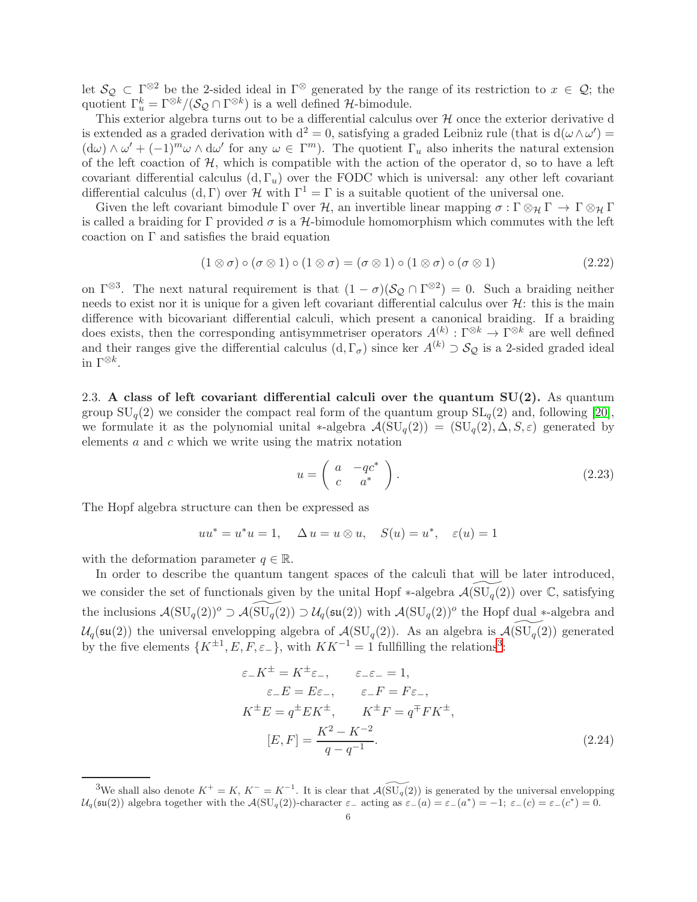let  $\mathcal{S}_{\mathcal{Q}} \subset \Gamma^{\otimes 2}$  be the 2-sided ideal in  $\Gamma^{\otimes}$  generated by the range of its restriction to  $x \in \mathcal{Q}$ ; the quotient  $\Gamma_u^k = \Gamma^{\otimes k}/(\mathcal{S}_{\mathcal{Q}} \cap \Gamma^{\otimes k})$  is a well defined  $\mathcal{H}$ -bimodule.

This exterior algebra turns out to be a differential calculus over  $H$  once the exterior derivative d is extended as a graded derivation with  $d^2 = 0$ , satisfying a graded Leibniz rule (that is  $d(\omega \wedge \omega') =$  $(\mathrm{d}\omega) \wedge \omega' + (-1)^m \omega \wedge \mathrm{d}\omega'$  for any  $\omega \in \Gamma^m$ ). The quotient  $\Gamma_u$  also inherits the natural extension of the left coaction of  $H$ , which is compatible with the action of the operator d, so to have a left covariant differential calculus  $(d, \Gamma_u)$  over the FODC which is universal: any other left covariant differential calculus  $(d, \Gamma)$  over  $\mathcal H$  with  $\Gamma^1 = \Gamma$  is a suitable quotient of the universal one.

Given the left covariant bimodule  $\Gamma$  over  $\mathcal{H}$ , an invertible linear mapping  $\sigma : \Gamma \otimes_{\mathcal{H}} \Gamma \to \Gamma \otimes_{\mathcal{H}} \Gamma$ is called a braiding for Γ provided  $\sigma$  is a H-bimodule homomorphism which commutes with the left coaction on  $\Gamma$  and satisfies the braid equation

<span id="page-5-2"></span>
$$
(1 \otimes \sigma) \circ (\sigma \otimes 1) \circ (1 \otimes \sigma) = (\sigma \otimes 1) \circ (1 \otimes \sigma) \circ (\sigma \otimes 1) \tag{2.22}
$$

on  $\Gamma^{\otimes 3}$ . The next natural requirement is that  $(1 - \sigma)(\mathcal{S}_{\mathcal{Q}} \cap \Gamma^{\otimes 2}) = 0$ . Such a braiding neither needs to exist nor it is unique for a given left covariant differential calculus over  $\mathcal{H}$ : this is the main difference with bicovariant differential calculi, which present a canonical braiding. If a braiding does exists, then the corresponding antisymmetriser operators  $A^{(k)} : \Gamma^{\otimes k} \to \Gamma^{\otimes k}$  are well defined and their ranges give the differential calculus  $(d, \Gamma_{\sigma})$  since ker  $A^{(k)} \supset S_{\mathcal{Q}}$  is a 2-sided graded ideal in  $\Gamma^{\otimes k}$ .

<span id="page-5-0"></span>2.3. A class of left covariant differential calculi over the quantum  $SU(2)$ . As quantum group  $SU_q(2)$  we consider the compact real form of the quantum group  $SL_q(2)$  and, following [\[20\]](#page-22-13), we formulate it as the polynomial unital \*-algebra  $\mathcal{A}(\mathrm{SU}_q(2)) = (\mathrm{SU}_q(2), \Delta, S, \varepsilon)$  generated by elements  $a$  and  $c$  which we write using the matrix notation

$$
u = \left(\begin{array}{cc} a & -qc^* \\ c & a^* \end{array}\right). \tag{2.23}
$$

The Hopf algebra structure can then be expressed as

$$
uu^* = u^*u = 1, \quad \Delta u = u \otimes u, \quad S(u) = u^*, \quad \varepsilon(u) = 1
$$

with the deformation parameter  $q \in \mathbb{R}$ .

In order to describe the quantum tangent spaces of the calculi that will be later introduced, we consider the set of functionals given by the unital Hopf  $*$ -algebra  $\mathcal{A}(\mathrm{SU}_q(2))$  over  $\mathbb{C}$ , satisfying the inclusions  $\mathcal{A}(\mathrm{SU}_q(2))^o \supset \mathcal{A}(\mathrm{SU}_q(2)) \supset \mathcal{U}_q(\mathfrak{su}(2))$  with  $\mathcal{A}(\mathrm{SU}_q(2))^o$  the Hopf dual \*-algebra and  $U_q(\mathfrak{su}(2))$  the universal envelopping algebra of  $\mathcal{A}(\mathrm{SU}_q(2))$ . As an algebra is  $\mathcal{A}(\mathrm{SU}_q(2))$  generated by the five elements  $\{K^{\pm 1}, E, F, \varepsilon \}$ , with  $KK^{-1} = 1$  fullfilling the relations<sup>[3](#page-5-1)</sup>:

$$
\varepsilon_{-}K^{\pm} = K^{\pm}\varepsilon_{-}, \qquad \varepsilon_{-}\varepsilon_{-} = 1,
$$
  
\n
$$
\varepsilon_{-}E = E\varepsilon_{-}, \qquad \varepsilon_{-}F = F\varepsilon_{-},
$$
  
\n
$$
K^{\pm}E = q^{\pm}EK^{\pm}, \qquad K^{\pm}F = q^{\mp}FK^{\pm},
$$
  
\n
$$
[E, F] = \frac{K^{2} - K^{-2}}{q - q^{-1}}.
$$
\n(2.24)

<span id="page-5-1"></span><sup>&</sup>lt;sup>3</sup>We shall also denote  $K^+ = K$ ,  $K^- = K^{-1}$ . It is clear that  $\mathcal{A}(\widetilde{SU_q(2)})$  is generated by the universal envelopping  $\mathcal{U}_q(\mathfrak{su}(2))$  algebra together with the  $\mathcal{A}(\mathrm{SU}_q(2))$ -character  $\varepsilon_-$  acting as  $\varepsilon_-(a) = \varepsilon_-(a^*) = -1$ ;  $\varepsilon_-(c) = \varepsilon_-(c^*) = 0$ .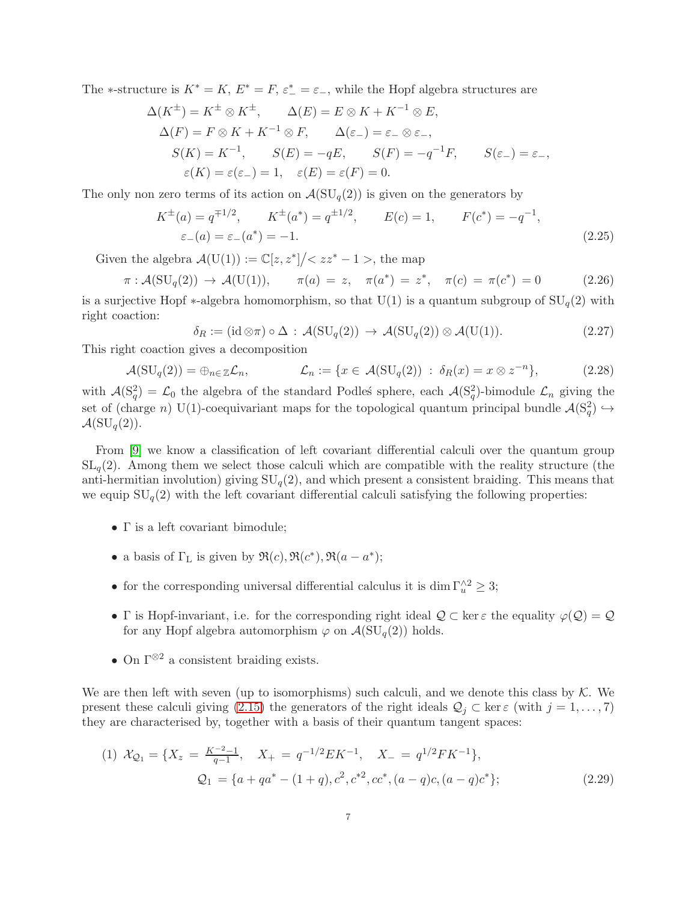The \*-structure is  $K^* = K$ ,  $E^* = F$ ,  $\varepsilon^* = \varepsilon$ , while the Hopf algebra structures are

$$
\Delta(K^{\pm}) = K^{\pm} \otimes K^{\pm}, \qquad \Delta(E) = E \otimes K + K^{-1} \otimes E,
$$
  
\n
$$
\Delta(F) = F \otimes K + K^{-1} \otimes F, \qquad \Delta(\varepsilon_{-}) = \varepsilon_{-} \otimes \varepsilon_{-},
$$
  
\n
$$
S(K) = K^{-1}, \qquad S(E) = -qE, \qquad S(F) = -q^{-1}F, \qquad S(\varepsilon_{-}) = \varepsilon_{-},
$$
  
\n
$$
\varepsilon(K) = \varepsilon(\varepsilon_{-}) = 1, \quad \varepsilon(E) = \varepsilon(F) = 0.
$$

The only non zero terms of its action on  $\mathcal{A}(\mathrm{SU}_q(2))$  is given on the generators by

$$
K^{\pm}(a) = q^{\mp 1/2}, \qquad K^{\pm}(a^*) = q^{\pm 1/2}, \qquad E(c) = 1, \qquad F(c^*) = -q^{-1},
$$
  
\n
$$
\varepsilon_{-}(a) = \varepsilon_{-}(a^*) = -1.
$$
\n(2.25)

Given the algebra  $\mathcal{A}(U(1)) := \mathbb{C}[z, z^*]/\langle zz^* - 1 \rangle$ , the map

<span id="page-6-2"></span>
$$
\pi : \mathcal{A}(\mathrm{SU}_q(2)) \to \mathcal{A}(\mathrm{U}(1)), \qquad \pi(a) = z, \quad \pi(a^*) = z^*, \quad \pi(c) = \pi(c^*) = 0 \tag{2.26}
$$

is a surjective Hopf  $*$ -algebra homomorphism, so that U(1) is a quantum subgroup of  $SU_q(2)$  with right coaction:

<span id="page-6-0"></span>
$$
\delta_R := (\mathrm{id} \otimes \pi) \circ \Delta : \mathcal{A}(\mathrm{SU}_q(2)) \to \mathcal{A}(\mathrm{SU}_q(2)) \otimes \mathcal{A}(\mathrm{U}(1)). \tag{2.27}
$$

This right coaction gives a decomposition

$$
\mathcal{A}(\mathrm{SU}_q(2)) = \oplus_{n \in \mathbb{Z}} \mathcal{L}_n, \qquad \mathcal{L}_n := \{ x \in \mathcal{A}(\mathrm{SU}_q(2)) \; : \; \delta_R(x) = x \otimes z^{-n} \}, \tag{2.28}
$$

with  $\mathcal{A}(\mathcal{S}_q^2) = \mathcal{L}_0$  the algebra of the standard Podles' sphere, each  $\mathcal{A}(\mathcal{S}_q^2)$ -bimodule  $\mathcal{L}_n$  giving the set of (charge n) U(1)-coequivariant maps for the topological quantum principal bundle  $\mathcal{A}(S_q^2) \hookrightarrow$  $\mathcal{A}(\mathrm{SU}_q(2)).$ 

From [\[9\]](#page-22-9) we know a classification of left covariant differential calculi over the quantum group  $SL_q(2)$ . Among them we select those calculi which are compatible with the reality structure (the anti-hermitian involution) giving  $SU_q(2)$ , and which present a consistent braiding. This means that we equip  $SU_q(2)$  with the left covariant differential calculi satisfying the following properties:

- Γ is a left covariant bimodule;
- a basis of  $\Gamma_{\text{L}}$  is given by  $\Re(c), \Re(c^*), \Re(a-a^*);$
- for the corresponding universal differential calculus it is dim  $\Gamma_u^{\wedge 2} \geq 3$ ;
- Γ is Hopf-invariant, i.e. for the corresponding right ideal  $\mathcal{Q} \subset \ker \varepsilon$  the equality  $\varphi(\mathcal{Q}) = \mathcal{Q}$ for any Hopf algebra automorphism  $\varphi$  on  $\mathcal{A}(\mathrm{SU}_q(2))$  holds.
- On  $\Gamma^{\otimes 2}$  a consistent braiding exists.

We are then left with seven (up to isomorphisms) such calculi, and we denote this class by  $K$ . We present these calculi giving [\(2.15\)](#page-4-1) the generators of the right ideals  $\mathcal{Q}_j \subset \ker \varepsilon$  (with  $j = 1, \ldots, 7$ ) they are characterised by, together with a basis of their quantum tangent spaces:

<span id="page-6-1"></span>(1) 
$$
\mathcal{X}_{\mathcal{Q}_1} = \{X_z = \frac{K^{-2}-1}{q-1}, \quad X_+ = q^{-1/2}EK^{-1}, \quad X_- = q^{1/2}FK^{-1}\},
$$
  
\n
$$
\mathcal{Q}_1 = \{a + qa^* - (1+q), c^2, c^{*2}, cc^*, (a-q)c, (a-q)c^*\};
$$
\n(2.29)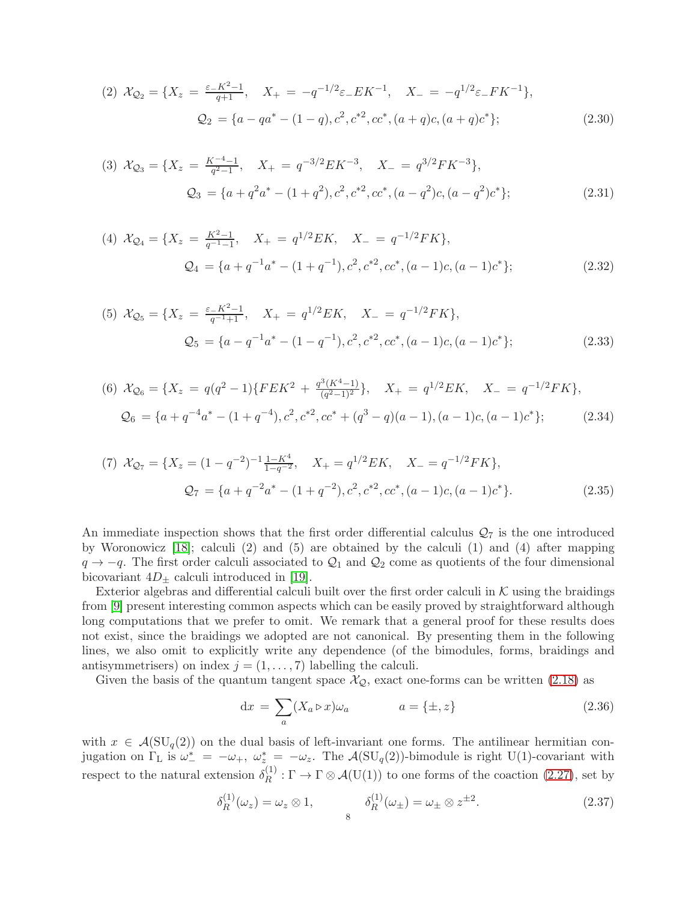<span id="page-7-3"></span>(2) 
$$
\mathcal{X}_{\mathcal{Q}_2} = \{X_z = \frac{\varepsilon - K^2 - 1}{q + 1}, \quad X_+ = -q^{-1/2}\varepsilon_- E K^{-1}, \quad X_- = -q^{1/2}\varepsilon_- F K^{-1}\},
$$
  
\n
$$
\mathcal{Q}_2 = \{a - qa^* - (1 - q), c^2, c^{*2}, cc^*, (a + q)c, (a + q)c^*\};
$$
\n(2.30)

(3) 
$$
\mathcal{X}_{\mathcal{Q}_3} = \{X_z = \frac{K^{-4}-1}{q^2-1}, \quad X_+ = q^{-3/2}EK^{-3}, \quad X_- = q^{3/2}FK^{-3}\},
$$
  
\n
$$
\mathcal{Q}_3 = \{a + q^2a^* - (1+q^2), c^2, c^{*2}, cc^*, (a-q^2)c, (a-q^2)c^*\};
$$
\n(2.31)

<span id="page-7-4"></span>(4) 
$$
\mathcal{X}_{\mathcal{Q}_4} = \{X_z = \frac{K^2 - 1}{q^{-1} - 1}, \quad X_+ = q^{1/2} E K, \quad X_- = q^{-1/2} F K\},
$$
  

$$
\mathcal{Q}_4 = \{a + q^{-1} a^* - (1 + q^{-1}), c^2, c^{*2}, cc^*, (a - 1)c, (a - 1)c^*\};
$$
(2.32)

<span id="page-7-5"></span>(5) 
$$
\mathcal{X}_{\mathcal{Q}_5} = \{X_z = \frac{\varepsilon - K^2 - 1}{q^{-1} + 1}, \quad X_+ = q^{1/2} E K, \quad X_- = q^{-1/2} F K\},
$$
  
\n
$$
\mathcal{Q}_5 = \{a - q^{-1} a^* - (1 - q^{-1}), c^2, c^{*2}, cc^*, (a - 1)c, (a - 1)c^*\};
$$
\n(2.33)

(6) 
$$
\mathcal{X}_{\mathcal{Q}_6} = \{X_z = q(q^2 - 1)\{FEK^2 + \frac{q^3(K^4 - 1)}{(q^2 - 1)^2}\}, \quad X_+ = q^{1/2}EK, \quad X_- = q^{-1/2}FK\},
$$
  
\n $\mathcal{Q}_6 = \{a + q^{-4}a^* - (1 + q^{-4}), c^2, c^{*2}, cc^* + (q^3 - q)(a - 1), (a - 1)c, (a - 1)c^*\};$ \n(2.34)

(7) 
$$
\mathcal{X}_{\mathcal{Q}_7} = \{X_z = (1 - q^{-2})^{-1} \frac{1 - K^4}{1 - q^{-2}}, \quad X_+ = q^{1/2} E K, \quad X_- = q^{-1/2} F K\},
$$
  
\n
$$
\mathcal{Q}_7 = \{a + q^{-2} a^* - (1 + q^{-2}), c^2, c^{*2}, cc^*, (a - 1)c, (a - 1)c^*\}.
$$
\n(2.35)

An immediate inspection shows that the first order differential calculus  $\mathcal{Q}_7$  is the one introduced by Woronowicz [\[18\]](#page-22-10); calculi (2) and (5) are obtained by the calculi (1) and (4) after mapping  $q \rightarrow -q$ . The first order calculi associated to  $\mathcal{Q}_1$  and  $\mathcal{Q}_2$  come as quotients of the four dimensional bicovariant  $4D_{+}$  calculi introduced in [\[19\]](#page-22-1).

Exterior algebras and differential calculi built over the first order calculi in  $K$  using the braidings from [\[9\]](#page-22-9) present interesting common aspects which can be easily proved by straightforward although long computations that we prefer to omit. We remark that a general proof for these results does not exist, since the braidings we adopted are not canonical. By presenting them in the following lines, we also omit to explicitly write any dependence (of the bimodules, forms, braidings and antisymmetrisers) on index  $j = (1, \ldots, 7)$  labelling the calculi.

Given the basis of the quantum tangent space  $\mathcal{X}_{\mathcal{Q}}$ , exact one-forms can be written [\(2.18\)](#page-4-2) as

<span id="page-7-2"></span><span id="page-7-0"></span>
$$
dx = \sum_{a} (X_a \triangleright x) \omega_a \qquad a = \{\pm, z\}
$$
\n(2.36)

with  $x \in \mathcal{A}(\mathrm{SU}_q(2))$  on the dual basis of left-invariant one forms. The antilinear hermitian conjugation on  $\Gamma_L$  is  $\omega_-^* = -\omega_+$ ,  $\omega_z^* = -\omega_z$ . The  $\mathcal{A}(\mathrm{SU}_q(2))$ -bimodule is right U(1)-covariant with respect to the natural extension  $\delta_R^{(1)}$  $R^{(1)}$ :  $\Gamma \to \Gamma \otimes \mathcal{A}(U(1))$  to one forms of the coaction [\(2.27\)](#page-6-0), set by

<span id="page-7-1"></span>
$$
\delta_R^{(1)}(\omega_z) = \omega_z \otimes 1, \qquad \delta_R^{(1)}(\omega_\pm) = \omega_\pm \otimes z^{\pm 2}.
$$
\n(2.37)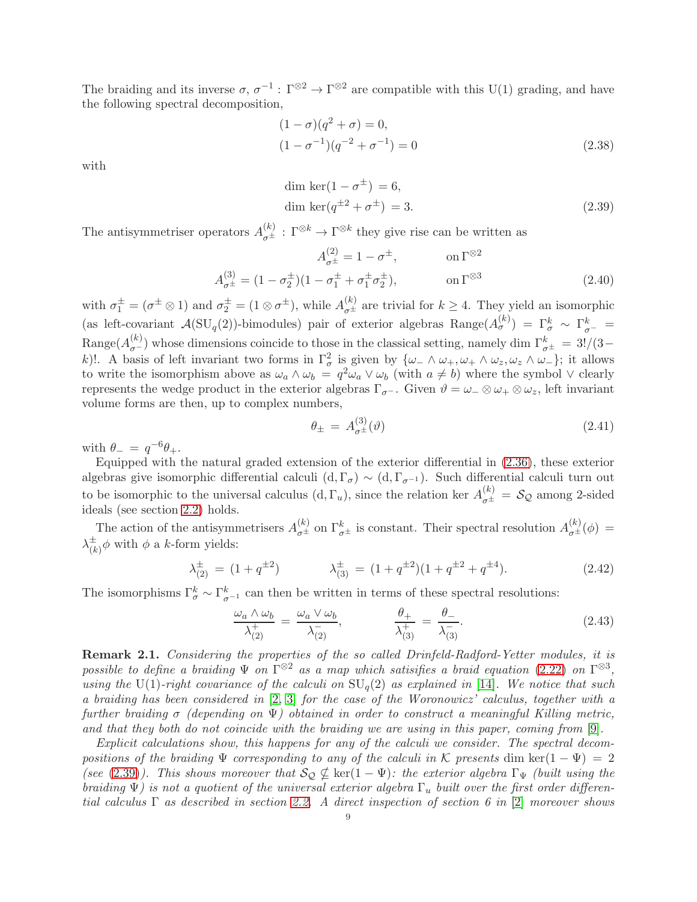The braiding and its inverse  $\sigma, \sigma^{-1}: \Gamma^{\otimes 2} \to \Gamma^{\otimes 2}$  are compatible with this U(1) grading, and have the following spectral decomposition,

$$
(1 - \sigma)(q^{2} + \sigma) = 0,
$$
  

$$
(1 - \sigma^{-1})(q^{-2} + \sigma^{-1}) = 0
$$
 (2.38)

with

<span id="page-8-0"></span>dim ker
$$
(1 - \sigma^{\pm}) = 6
$$
,  
dim ker $(q^{\pm 2} + \sigma^{\pm}) = 3$ . (2.39)

The antisymmetriser operators  $A_{\sigma^{\pm}}^{(k)} : \Gamma^{\otimes k} \to \Gamma^{\otimes k}$  they give rise can be written as

$$
A_{\sigma^{\pm}}^{(2)} = 1 - \sigma^{\pm}, \qquad \text{on } \Gamma^{\otimes 2}
$$

$$
A_{\sigma^{\pm}}^{(3)} = (1 - \sigma_2^{\pm})(1 - \sigma_1^{\pm} + \sigma_1^{\pm}\sigma_2^{\pm}), \qquad \text{on } \Gamma^{\otimes 3}
$$
(2.40)

with  $\sigma_1^{\pm} = (\sigma^{\pm} \otimes 1)$  and  $\sigma_2^{\pm} = (1 \otimes \sigma^{\pm})$ , while  $A_{\sigma^{\pm}}^{(k)}$  are trivial for  $k \geq 4$ . They yield an isomorphic (as left-covariant  $\mathcal{A}(\mathrm{SU}_q(2))$ -bimodules) pair of exterior algebras Range $(A_\sigma^{(k)}) = \Gamma_\sigma^k \sim \Gamma_{\sigma^-}^k =$ Range $(A_{\sigma}^{(k)})$  whose dimensions coincide to those in the classical setting, namely dim  $\Gamma_{\sigma^{\pm}}^{k} = 3!/(3-1)$ k)!. A basis of left invariant two forms in  $\Gamma_\sigma^2$  is given by  $\{\omega_- \wedge \omega_+, \omega_+ \wedge \omega_z, \omega_z \wedge \omega_-\}$ ; it allows to write the isomorphism above as  $\omega_a \wedge \omega_b = q^2 \omega_a \vee \omega_b$  (with  $a \neq b$ ) where the symbol  $\vee$  clearly represents the wedge product in the exterior algebras  $\Gamma_{\sigma}$ -. Given  $\vartheta = \omega_- \otimes \omega_+ \otimes \omega_z$ , left invariant volume forms are then, up to complex numbers,

<span id="page-8-2"></span><span id="page-8-1"></span>
$$
\theta_{\pm} = A_{\sigma^{\pm}}^{(3)}(\vartheta) \tag{2.41}
$$

with  $\theta_- = q^{-6}\theta_+$ .

Equipped with the natural graded extension of the exterior differential in [\(2.36\)](#page-7-0), these exterior algebras give isomorphic differential calculi  $(d, \Gamma_{\sigma}) \sim (d, \Gamma_{\sigma^{-1}})$ . Such differential calculi turn out to be isomorphic to the universal calculus  $(d, \Gamma_u)$ , since the relation ker  $A_{\sigma^{\pm}}^{(k)} = S_{\mathcal{Q}}$  among 2-sided ideals (see section [2.2\)](#page-4-0) holds.

The action of the antisymmetrisers  $A_{\sigma^{\pm}}^{(k)}$  on  $\Gamma_{\sigma^{\pm}}^{k}$  is constant. Their spectral resolution  $A_{\sigma^{\pm}}^{(k)}(\phi)$  =  $\lambda_{\scriptscriptstyle (k)}^\pm$  $\frac{1}{(k)}\phi$  with  $\phi$  a k-form yields:

$$
\lambda_{(2)}^{\pm} = (1 + q^{\pm 2}) \qquad \lambda_{(3)}^{\pm} = (1 + q^{\pm 2})(1 + q^{\pm 2} + q^{\pm 4}). \tag{2.42}
$$

The isomorphisms  $\Gamma^k_{\sigma} \sim \Gamma^k_{\sigma^{-1}}$  can then be written in terms of these spectral resolutions:

<span id="page-8-3"></span>
$$
\frac{\omega_a \wedge \omega_b}{\lambda_{(2)}^+} = \frac{\omega_a \vee \omega_b}{\lambda_{(2)}^-}, \qquad \frac{\theta_+}{\lambda_{(3)}^+} = \frac{\theta_-}{\lambda_{(3)}^-}.
$$
\n(2.43)

Remark 2.1. Considering the properties of the so called Drinfeld-Radford-Yetter modules, it is possible to define a braiding  $\Psi$  on  $\Gamma^{\otimes 2}$  as a map which satisifies a braid equation [\(2.22\)](#page-5-2) on  $\Gamma^{\otimes 3}$ , using the U(1)-right covariance of the calculi on  $SU_q(2)$  as explained in [\[14\]](#page-22-14). We notice that such a braiding has been considered in [\[2,](#page-22-15) [3\]](#page-22-16) for the case of the Woronowicz' calculus, together with a further braiding  $\sigma$  (depending on  $\Psi$ ) obtained in order to construct a meaningful Killing metric, and that they both do not coincide with the braiding we are using in this paper, coming from [\[9\]](#page-22-9).

Explicit calculations show, this happens for any of the calculi we consider. The spectral decompositions of the braiding  $\Psi$  corresponding to any of the calculi in K presents dim ker(1 –  $\Psi$ ) = 2 (see [\(2.39\)](#page-8-0)). This shows moreover that  $\mathcal{S}_{\mathcal{Q}} \nsubseteq \ker(1 - \Psi)$ : the exterior algebra  $\Gamma_{\Psi}$  (built using the braiding  $\Psi$ ) is not a quotient of the universal exterior algebra  $\Gamma_u$  built over the first order differential calculus  $\Gamma$  as described in section [2.2.](#page-4-0) A direct inspection of section 6 in [\[2\]](#page-22-15) moreover shows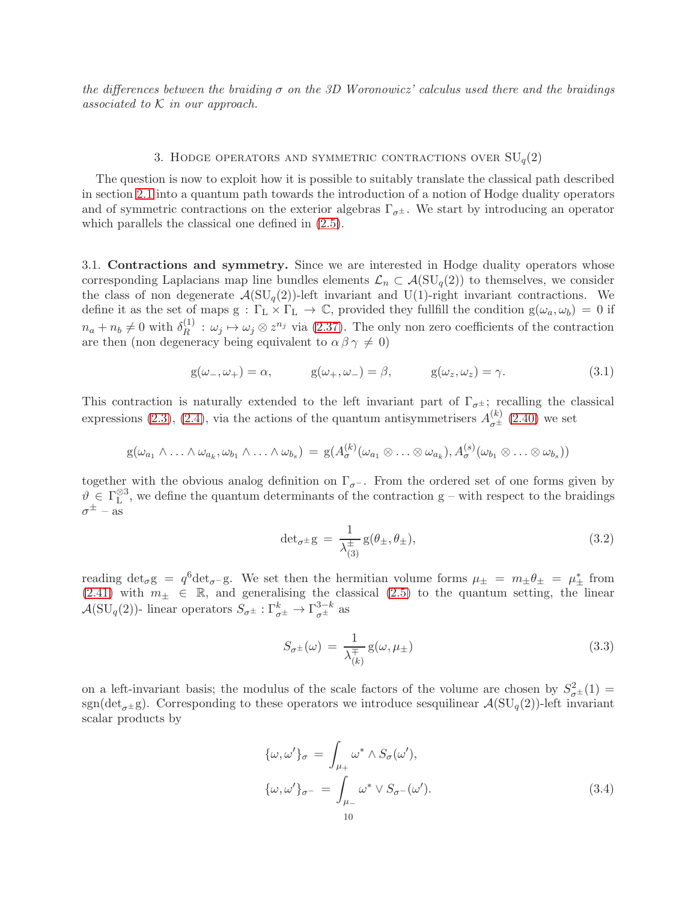the differences between the braiding  $\sigma$  on the 3D Woronowicz' calculus used there and the braidings associated to  $K$  in our approach.

## 3. HODGE OPERATORS AND SYMMETRIC CONTRACTIONS OVER  $SU_q(2)$

<span id="page-9-0"></span>The question is now to exploit how it is possible to suitably translate the classical path described in section [2.1](#page-2-1) into a quantum path towards the introduction of a notion of Hodge duality operators and of symmetric contractions on the exterior algebras  $\Gamma_{\sigma^{\pm}}$ . We start by introducing an operator which parallels the classical one defined in [\(2.5\)](#page-2-7).

<span id="page-9-1"></span>3.1. Contractions and symmetry. Since we are interested in Hodge duality operators whose corresponding Laplacians map line bundles elements  $\mathcal{L}_n \subset \mathcal{A}(\mathrm{SU}_q(2))$  to themselves, we consider the class of non degenerate  $\mathcal{A}(\mathrm{SU}_q(2))$ -left invariant and U(1)-right invariant contractions. We define it as the set of maps  $g : \Gamma_L \times \Gamma_L \to \mathbb{C}$ , provided they fullfill the condition  $g(\omega_a, \omega_b) = 0$  if  $n_a + n_b \neq 0$  with  $\delta_R^{(1)}$  $R^{(1)}$ :  $\omega_j \mapsto \omega_j \otimes z^{n_j}$  via [\(2.37\)](#page-7-1). The only non zero coefficients of the contraction are then (non degeneracy being equivalent to  $\alpha \beta \gamma \neq 0$ )

<span id="page-9-2"></span>
$$
g(\omega_-, \omega_+) = \alpha, \qquad g(\omega_+, \omega_-) = \beta, \qquad g(\omega_z, \omega_z) = \gamma. \tag{3.1}
$$

This contraction is naturally extended to the left invariant part of  $\Gamma_{\sigma^{\pm}}$ ; recalling the classical expressions [\(2.3\)](#page-2-4), [\(2.4\)](#page-2-8), via the actions of the quantum antisymmetrisers  $A_{\sigma^{\pm}}^{(k)}$  [\(2.40\)](#page-8-1) we set

$$
g(\omega_{a_1} \wedge \ldots \wedge \omega_{a_k}, \omega_{b_1} \wedge \ldots \wedge \omega_{b_s}) = g(A_{\sigma}^{(k)}(\omega_{a_1} \otimes \ldots \otimes \omega_{a_k}), A_{\sigma}^{(s)}(\omega_{b_1} \otimes \ldots \otimes \omega_{b_s}))
$$

together with the obvious analog definition on  $\Gamma_{\sigma}$ -. From the ordered set of one forms given by  $\vartheta \in \Gamma_{\mathrm{L}}^{\otimes 3}$  $L^{\infty}$ , we define the quantum determinants of the contraction g – with respect to the braidings  $\sigma^{\pm}$  – as

$$
\det_{\sigma^{\pm}} g = \frac{1}{\lambda_{(3)}^{\pm}} g(\theta_{\pm}, \theta_{\pm}), \tag{3.2}
$$

reading  $\det_{\sigma} g = q^6 \det_{\sigma} g$ . We set then the hermitian volume forms  $\mu_{\pm} = m_{\pm} \theta_{\pm} = \mu_{\pm}^*$  from [\(2.41\)](#page-8-2) with  $m_{\pm} \in \mathbb{R}$ , and generalising the classical [\(2.5\)](#page-2-7) to the quantum setting, the linear  $\mathcal{A}(\mathrm{SU}_q(2))$ - linear operators  $S_{\sigma^{\pm}} : \Gamma^k_{\sigma^{\pm}} \to \Gamma^{3-k}_{\sigma^{\pm}}$  as

$$
S_{\sigma^{\pm}}(\omega) = \frac{1}{\lambda_{(k)}^{\pm}} g(\omega, \mu_{\pm})
$$
\n(3.3)

on a left-invariant basis; the modulus of the scale factors of the volume are chosen by  $S^2_{\sigma^{\pm}}(1)$  = sgn(det<sub> $\sigma^{\pm}$ g). Corresponding to these operators we introduce sesquilinear  $\mathcal{A}(\mathrm{SU}_q(2))$ -left invariant</sub> scalar products by

<span id="page-9-3"></span>
$$
\{\omega, \omega'\}_{\sigma} = \int_{\mu_{+}} \omega^* \wedge S_{\sigma}(\omega'),
$$
  

$$
\{\omega, \omega'\}_{\sigma^{-}} = \int_{\mu_{-}} \omega^* \vee S_{\sigma^{-}}(\omega'). \tag{3.4}
$$
  

$$
10
$$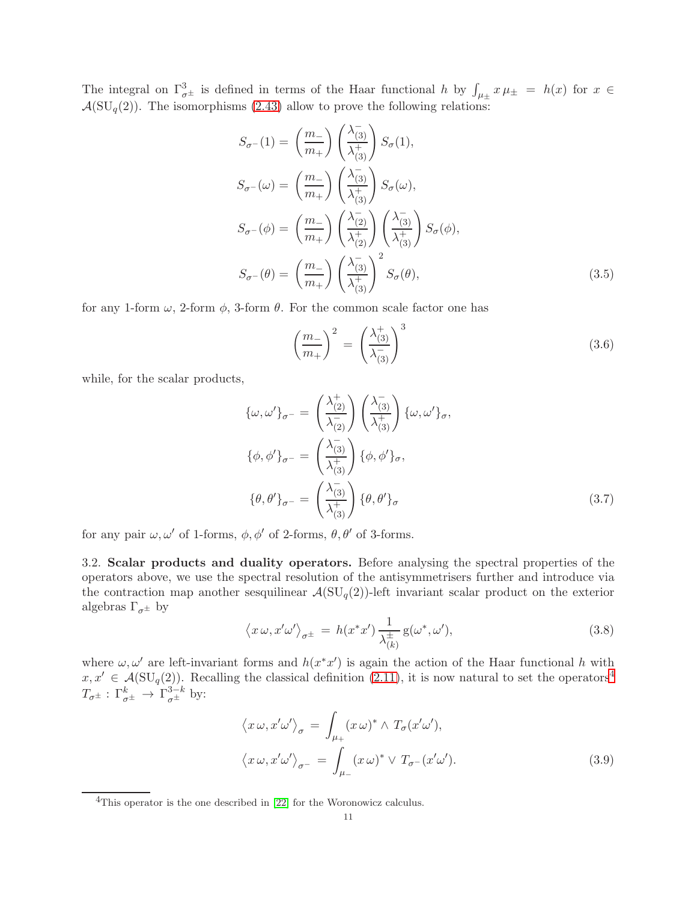The integral on  $\Gamma_{\sigma^{\pm}}^3$  is defined in terms of the Haar functional h by  $\int_{\mu_{\pm}} x \mu_{\pm} = h(x)$  for  $x \in$  $\mathcal{A}(\mathrm{SU}_q(2))$ . The isomorphisms [\(2.43\)](#page-8-3) allow to prove the following relations:

$$
S_{\sigma^{-}}(1) = \left(\frac{m_{-}}{m_{+}}\right) \left(\frac{\lambda_{(3)}^{-}}{\lambda_{(3)}^{+}}\right) S_{\sigma}(1),
$$
  
\n
$$
S_{\sigma^{-}}(\omega) = \left(\frac{m_{-}}{m_{+}}\right) \left(\frac{\lambda_{(3)}^{-}}{\lambda_{(3)}^{+}}\right) S_{\sigma}(\omega),
$$
  
\n
$$
S_{\sigma^{-}}(\phi) = \left(\frac{m_{-}}{m_{+}}\right) \left(\frac{\lambda_{(2)}^{-}}{\lambda_{(2)}^{+}}\right) \left(\frac{\lambda_{(3)}^{-}}{\lambda_{(3)}^{+}}\right) S_{\sigma}(\phi),
$$
  
\n
$$
S_{\sigma^{-}}(\theta) = \left(\frac{m_{-}}{m_{+}}\right) \left(\frac{\lambda_{(3)}^{-}}{\lambda_{(3)}^{+}}\right)^{2} S_{\sigma}(\theta),
$$
\n(3.5)

for any 1-form  $\omega$ , 2-form  $\phi$ , 3-form  $\theta$ . For the common scale factor one has

<span id="page-10-5"></span><span id="page-10-4"></span><span id="page-10-3"></span>
$$
\left(\frac{m_{-}}{m_{+}}\right)^{2} = \left(\frac{\lambda^{+}_{(3)}}{\lambda^{-}_{(3)}}\right)^{3} \tag{3.6}
$$

while, for the scalar products,

$$
\{\omega, \omega'\}_{\sigma^-} = \left(\frac{\lambda_{(2)}^+}{\lambda_{(2)}^-}\right) \left(\frac{\lambda_{(3)}^-}{\lambda_{(3)}^+}\right) \{\omega, \omega'\}_{\sigma},
$$
  

$$
\{\phi, \phi'\}_{\sigma^-} = \left(\frac{\lambda_{(3)}^-}{\lambda_{(3)}^+}\right) \{\phi, \phi'\}_{\sigma},
$$
  

$$
\{\theta, \theta'\}_{\sigma^-} = \left(\frac{\lambda_{(3)}^-}{\lambda_{(3)}^+}\right) \{\theta, \theta'\}_{\sigma}
$$
 (3.7)

for any pair  $\omega, \omega'$  of 1-forms,  $\phi, \phi'$  of 2-forms,  $\theta, \theta'$  of 3-forms.

<span id="page-10-0"></span>3.2. Scalar products and duality operators. Before analysing the spectral properties of the operators above, we use the spectral resolution of the antisymmetrisers further and introduce via the contraction map another sesquilinear  $\mathcal{A}(\mathrm{SU}_q(2))$ -left invariant scalar product on the exterior algebras  $\Gamma_{\sigma^{\pm}}$  by

<span id="page-10-2"></span>
$$
\langle x \,\omega, x' \omega' \rangle_{\sigma^{\pm}} = h(x^* x') \, \frac{1}{\lambda_{(k)}^{\pm}} \mathbf{g}(\omega^*, \omega'),\tag{3.8}
$$

where  $\omega, \omega'$  are left-invariant forms and  $h(x^*x')$  is again the action of the Haar functional h with  $x, x' \in \mathcal{A}(\mathrm{SU}_q(2))$ . Recalling the classical definition [\(2.11\)](#page-3-0), it is now natural to set the operators<sup>[4](#page-10-1)</sup>  $T_{\sigma^{\pm}} : \Gamma^k_{\sigma^{\pm}} \to \Gamma^{3-k}_{\sigma^{\pm}}$  by:

<span id="page-10-6"></span>
$$
\langle x \,\omega, x' \omega' \rangle_{\sigma} = \int_{\mu_{+}} (x \,\omega)^* \wedge T_{\sigma}(x' \omega'),
$$
  

$$
\langle x \,\omega, x' \omega' \rangle_{\sigma^{-}} = \int_{\mu_{-}} (x \,\omega)^* \vee T_{\sigma^{-}}(x' \omega'). \tag{3.9}
$$

<span id="page-10-1"></span><sup>&</sup>lt;sup>4</sup>This operator is the one described in [\[22\]](#page-22-11) for the Woronowicz calculus.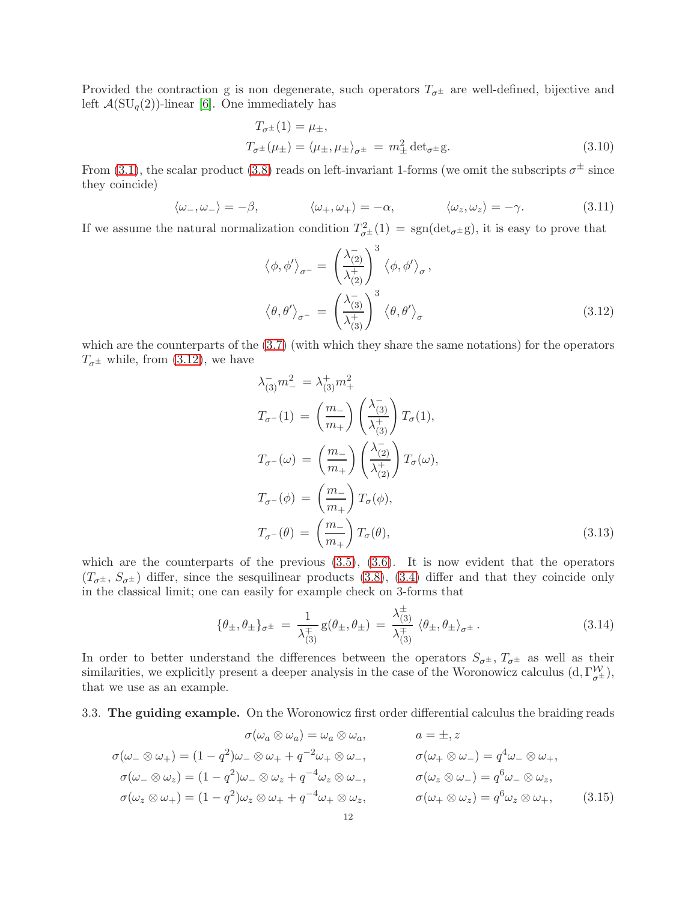Provided the contraction g is non degenerate, such operators  $T_{\sigma^{\pm}}$  are well-defined, bijective and left  $\mathcal{A}(\mathrm{SU}_q(2))$ -linear [\[6\]](#page-22-17). One immediately has

<span id="page-11-2"></span>
$$
T_{\sigma^{\pm}}(1) = \mu_{\pm},
$$
  
\n
$$
T_{\sigma^{\pm}}(\mu_{\pm}) = \langle \mu_{\pm}, \mu_{\pm} \rangle_{\sigma^{\pm}} = m_{\pm}^{2} \det_{\sigma^{\pm}} g.
$$
\n(3.10)

From [\(3.1\)](#page-9-2), the scalar product [\(3.8\)](#page-10-2) reads on left-invariant 1-forms (we omit the subscripts  $\sigma^{\pm}$  since they coincide)

<span id="page-11-4"></span>
$$
\langle \omega_-, \omega_- \rangle = -\beta, \qquad \langle \omega_+, \omega_+ \rangle = -\alpha, \qquad \langle \omega_z, \omega_z \rangle = -\gamma. \tag{3.11}
$$

If we assume the natural normalization condition  $T_{\sigma^{\pm}}^2(1) = \text{sgn}(\text{det}_{\sigma^{\pm}}g)$ , it is easy to prove that

<span id="page-11-1"></span>
$$
\langle \phi, \phi' \rangle_{\sigma^{-}} = \left( \frac{\lambda_{(2)}^{-}}{\lambda_{(2)}^{+}} \right)^3 \langle \phi, \phi' \rangle_{\sigma},
$$

$$
\langle \theta, \theta' \rangle_{\sigma^{-}} = \left( \frac{\lambda_{(3)}^{-}}{\lambda_{(3)}^{+}} \right)^3 \langle \theta, \theta' \rangle_{\sigma}
$$
(3.12)

which are the counterparts of the [\(3.7\)](#page-10-3) (with which they share the same notations) for the operators  $T_{\sigma^{\pm}}$  while, from [\(3.12\)](#page-11-1), we have

<span id="page-11-3"></span>
$$
\lambda_{(3)}^{-} m_{-}^{2} = \lambda_{(3)}^{+} m_{+}^{2}
$$
\n
$$
T_{\sigma^{-}}(1) = \left(\frac{m_{-}}{m_{+}}\right) \left(\frac{\lambda_{(3)}^{-}}{\lambda_{(3)}^{+}}\right) T_{\sigma}(1),
$$
\n
$$
T_{\sigma^{-}}(\omega) = \left(\frac{m_{-}}{m_{+}}\right) \left(\frac{\lambda_{(2)}^{-}}{\lambda_{(2)}^{+}}\right) T_{\sigma}(\omega),
$$
\n
$$
T_{\sigma^{-}}(\phi) = \left(\frac{m_{-}}{m_{+}}\right) T_{\sigma}(\phi),
$$
\n
$$
T_{\sigma^{-}}(\theta) = \left(\frac{m_{-}}{m_{+}}\right) T_{\sigma}(\theta),
$$
\n(3.13)

which are the counterparts of the previous  $(3.5)$ ,  $(3.6)$ . It is now evident that the operators  $(T_{\sigma^{\pm}}, S_{\sigma^{\pm}})$  differ, since the sesquilinear products [\(3.8\)](#page-10-2), [\(3.4\)](#page-9-3) differ and that they coincide only in the classical limit; one can easily for example check on 3-forms that

$$
\{\theta_{\pm}, \theta_{\pm}\}_{\sigma^{\pm}} = \frac{1}{\lambda_{(3)}^{\pm}} g(\theta_{\pm}, \theta_{\pm}) = \frac{\lambda_{(3)}^{\pm}}{\lambda_{(3)}^{\mp}} \langle \theta_{\pm}, \theta_{\pm} \rangle_{\sigma^{\pm}}.
$$
 (3.14)

In order to better understand the differences between the operators  $S_{\sigma^{\pm}}$ ,  $T_{\sigma^{\pm}}$  as well as their similarities, we explicitly present a deeper analysis in the case of the Woronowicz calculus  $(d, \Gamma_{\sigma^{\pm}}^{\mathcal{W}})$ , that we use as an example.

## <span id="page-11-0"></span>3.3. The guiding example. On the Woronowicz first order differential calculus the braiding reads

$$
\sigma(\omega_{a} \otimes \omega_{a}) = \omega_{a} \otimes \omega_{a}, \qquad a = \pm, z
$$
  
\n
$$
\sigma(\omega_{-} \otimes \omega_{+}) = (1 - q^{2})\omega_{-} \otimes \omega_{+} + q^{-2}\omega_{+} \otimes \omega_{-}, \qquad \sigma(\omega_{+} \otimes \omega_{-}) = q^{4}\omega_{-} \otimes \omega_{+},
$$
  
\n
$$
\sigma(\omega_{-} \otimes \omega_{z}) = (1 - q^{2})\omega_{-} \otimes \omega_{z} + q^{-4}\omega_{z} \otimes \omega_{-}, \qquad \sigma(\omega_{z} \otimes \omega_{-}) = q^{6}\omega_{-} \otimes \omega_{z},
$$
  
\n
$$
\sigma(\omega_{z} \otimes \omega_{+}) = (1 - q^{2})\omega_{z} \otimes \omega_{+} + q^{-4}\omega_{+} \otimes \omega_{z}, \qquad \sigma(\omega_{+} \otimes \omega_{z}) = q^{6}\omega_{z} \otimes \omega_{+}, \qquad (3.15)
$$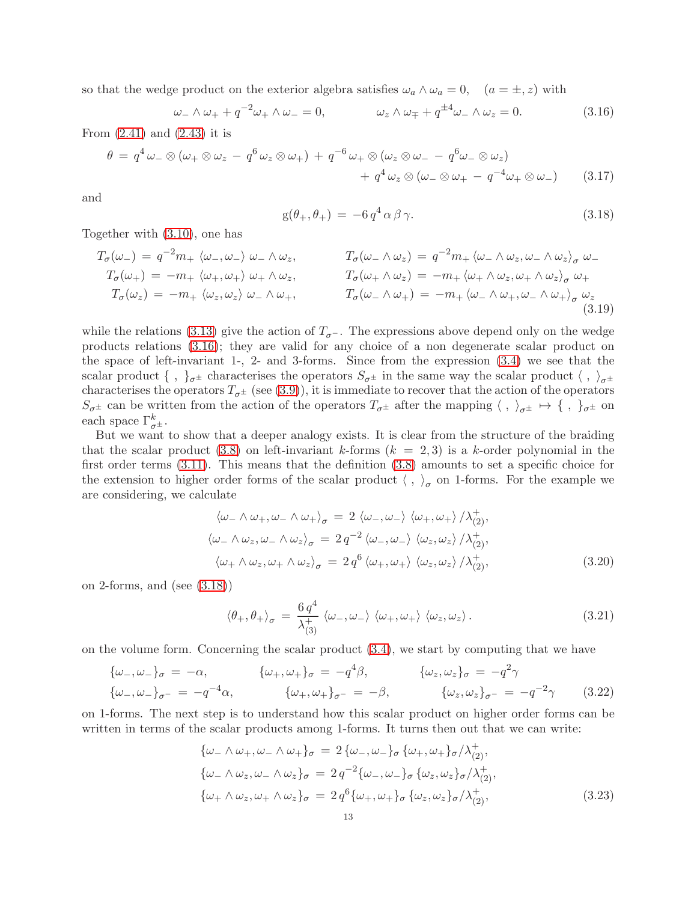so that the wedge product on the exterior algebra satisfies  $\omega_a \wedge \omega_a = 0$ ,  $(a = \pm, z)$  with

<span id="page-12-0"></span>
$$
\omega_- \wedge \omega_+ + q^{-2} \omega_+ \wedge \omega_- = 0, \qquad \omega_z \wedge \omega_{\mp} + q^{\pm 4} \omega_- \wedge \omega_z = 0. \tag{3.16}
$$

From [\(2.41\)](#page-8-2) and [\(2.43\)](#page-8-3) it is

$$
\theta = q^4 \omega_- \otimes (\omega_+ \otimes \omega_z - q^6 \omega_z \otimes \omega_+) + q^{-6} \omega_+ \otimes (\omega_z \otimes \omega_- - q^6 \omega_- \otimes \omega_z) + q^4 \omega_z \otimes (\omega_- \otimes \omega_+ - q^{-4} \omega_+ \otimes \omega_-)
$$
(3.17)

and

<span id="page-12-5"></span><span id="page-12-1"></span>
$$
g(\theta_+,\theta_+) = -6 q^4 \alpha \beta \gamma.
$$
\n(3.18)

Together with [\(3.10\)](#page-11-2), one has

$$
T_{\sigma}(\omega_{-}) = q^{-2}m_{+} \langle \omega_{-}, \omega_{-} \rangle \omega_{-} \wedge \omega_{z}, \qquad T_{\sigma}(\omega_{-} \wedge \omega_{z}) = q^{-2}m_{+} \langle \omega_{-} \wedge \omega_{z}, \omega_{-} \wedge \omega_{z} \rangle_{\sigma} \omega_{-}
$$
  
\n
$$
T_{\sigma}(\omega_{+}) = -m_{+} \langle \omega_{+}, \omega_{+} \rangle \omega_{+} \wedge \omega_{z}, \qquad T_{\sigma}(\omega_{+} \wedge \omega_{z}) = -m_{+} \langle \omega_{+} \wedge \omega_{z}, \omega_{+} \wedge \omega_{z} \rangle_{\sigma} \omega_{+}
$$
  
\n
$$
T_{\sigma}(\omega_{z}) = -m_{+} \langle \omega_{z}, \omega_{z} \rangle \omega_{-} \wedge \omega_{+}, \qquad T_{\sigma}(\omega_{-} \wedge \omega_{+}) = -m_{+} \langle \omega_{-} \wedge \omega_{+}, \omega_{-} \wedge \omega_{+} \rangle_{\sigma} \omega_{z}
$$
\n(3.19)

while the relations [\(3.13\)](#page-11-3) give the action of  $T_{\sigma}$ -. The expressions above depend only on the wedge products relations [\(3.16\)](#page-12-0); they are valid for any choice of a non degenerate scalar product on the space of left-invariant 1-, 2- and 3-forms. Since from the expression [\(3.4\)](#page-9-3) we see that the scalar product  $\{\ ,\ \}_{\sigma^{\pm}}$  characterises the operators  $S_{\sigma^{\pm}}$  in the same way the scalar product  $\langle , \ \rangle_{\sigma^{\pm}}$ characterises the operators  $T_{\sigma^{\pm}}$  (see [\(3.9\)](#page-10-6)), it is immediate to recover that the action of the operators  $S_{\sigma^{\pm}}$  can be written from the action of the operators  $T_{\sigma^{\pm}}$  after the mapping  $\langle , \rangle_{\sigma^{\pm}} \mapsto \{ , \}_{\sigma^{\pm}}$  on each space  $\Gamma^k_{\sigma^{\pm}}$ .

But we want to show that a deeper analogy exists. It is clear from the structure of the braiding that the scalar product [\(3.8\)](#page-10-2) on left-invariant k-forms  $(k = 2, 3)$  is a k-order polynomial in the first order terms [\(3.11\)](#page-11-4). This means that the definition [\(3.8\)](#page-10-2) amounts to set a specific choice for the extension to higher order forms of the scalar product  $\langle , \rangle_{\sigma}$  on 1-forms. For the example we are considering, we calculate

$$
\langle \omega_- \wedge \omega_+, \omega_- \wedge \omega_+ \rangle_{\sigma} = 2 \langle \omega_-, \omega_- \rangle \langle \omega_+, \omega_+ \rangle / \lambda_{(2)}^+,
$$
  

$$
\langle \omega_- \wedge \omega_z, \omega_- \wedge \omega_z \rangle_{\sigma} = 2 q^{-2} \langle \omega_-, \omega_- \rangle \langle \omega_z, \omega_z \rangle / \lambda_{(2)}^+,
$$
  

$$
\langle \omega_+ \wedge \omega_z, \omega_+ \wedge \omega_z \rangle_{\sigma} = 2 q^6 \langle \omega_+, \omega_+ \rangle \langle \omega_z, \omega_z \rangle / \lambda_{(2)}^+,
$$
 (3.20)

on 2-forms, and (see [\(3.18\)](#page-12-1))

<span id="page-12-4"></span><span id="page-12-3"></span>
$$
\langle \theta_+, \theta_+ \rangle_{\sigma} = \frac{6 q^4}{\lambda_{(3)}^+} \langle \omega_-, \omega_- \rangle \langle \omega_+, \omega_+ \rangle \langle \omega_z, \omega_z \rangle.
$$
 (3.21)

on the volume form. Concerning the scalar product [\(3.4\)](#page-9-3), we start by computing that we have

$$
\{\omega_{-}, \omega_{-}\}_{\sigma} = -\alpha, \qquad \{\omega_{+}, \omega_{+}\}_{\sigma} = -q^{4}\beta, \qquad \{\omega_{z}, \omega_{z}\}_{\sigma} = -q^{2}\gamma
$$
  

$$
\{\omega_{-}, \omega_{-}\}_{\sigma^{-}} = -q^{-4}\alpha, \qquad \{\omega_{+}, \omega_{+}\}_{\sigma^{-}} = -\beta, \qquad \{\omega_{z}, \omega_{z}\}_{\sigma^{-}} = -q^{-2}\gamma \qquad (3.22)
$$

on 1-forms. The next step is to understand how this scalar product on higher order forms can be written in terms of the scalar products among 1-forms. It turns then out that we can write:

<span id="page-12-2"></span>
$$
\{\omega_{-} \wedge \omega_{+}, \omega_{-} \wedge \omega_{+}\}_{\sigma} = 2 \{\omega_{-}, \omega_{-}\}_{\sigma} \{\omega_{+}, \omega_{+}\}_{\sigma} / \lambda_{(2)}^{+},
$$
  
\n
$$
\{\omega_{-} \wedge \omega_{z}, \omega_{-} \wedge \omega_{z}\}_{\sigma} = 2 q^{-2} \{\omega_{-}, \omega_{-}\}_{\sigma} \{\omega_{z}, \omega_{z}\}_{\sigma} / \lambda_{(2)}^{+},
$$
  
\n
$$
\{\omega_{+} \wedge \omega_{z}, \omega_{+} \wedge \omega_{z}\}_{\sigma} = 2 q^{6} \{\omega_{+}, \omega_{+}\}_{\sigma} \{\omega_{z}, \omega_{z}\}_{\sigma} / \lambda_{(2)}^{+},
$$
\n(3.23)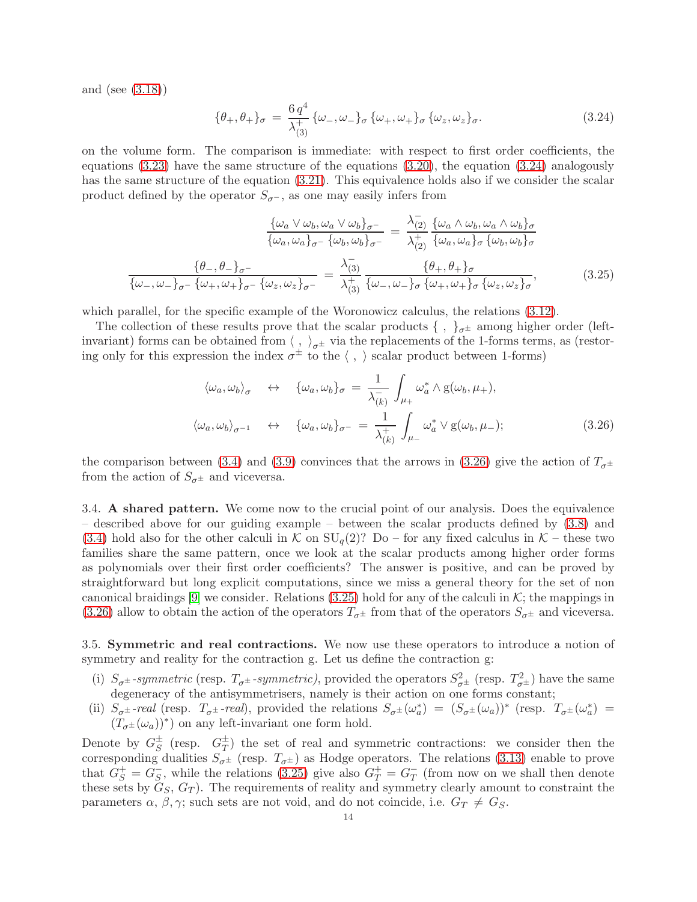and (see [\(3.18\)](#page-12-1))

<span id="page-13-4"></span><span id="page-13-2"></span>
$$
\{\theta_+,\theta_+\}_{\sigma} = \frac{6 q^4}{\lambda_{(3)}^+} \{\omega_-, \omega_-\}_{\sigma} \{\omega_+, \omega_+\}_{\sigma} \{\omega_z, \omega_z\}_{\sigma}.
$$
 (3.24)

on the volume form. The comparison is immediate: with respect to first order coefficients, the equations  $(3.23)$  have the same structure of the equations  $(3.20)$ , the equation  $(3.24)$  analogously has the same structure of the equation  $(3.21)$ . This equivalence holds also if we consider the scalar product defined by the operator  $S_{\sigma}$ -, as one may easily infers from

$$
\frac{\{\omega_a \vee \omega_b, \omega_a \vee \omega_b\}_{\sigma^-}}{\{\omega_a, \omega_a\}_{\sigma^-} \{\omega_b, \omega_b\}_{\sigma^-}} = \frac{\lambda_{(2)}^-}{\lambda_{(2)}^+} \frac{\{\omega_a \wedge \omega_b, \omega_a \wedge \omega_b\}_{\sigma}}{\{\omega_a, \omega_a\}_{\sigma} \{\omega_b, \omega_b\}_{\sigma}}
$$
\n
$$
\frac{\{\theta_{-}, \theta_{-}\}_{\sigma^-}}{\{\omega_{-}, \omega_{-}\}_{\sigma^-} \{\omega_{+}, \omega_{+}\}_{\sigma^-} \{\omega_z, \omega_z\}_{\sigma^-}} = \frac{\lambda_{(3)}^-}{\lambda_{(3)}^+} \frac{\{\theta_{+}, \theta_{+}\}_{\sigma}}{\{\omega_{-}, \omega_{-}\}_{\sigma} \{\omega_{+}, \omega_{+}\}_{\sigma} \{\omega_z, \omega_z\}_{\sigma}}
$$
\n
$$
(3.25)
$$

which parallel, for the specific example of the Woronowicz calculus, the relations [\(3.12\)](#page-11-1).

The collection of these results prove that the scalar products  $\{\ ,\ \}_{\sigma^{\pm}}$  among higher order (leftinvariant) forms can be obtained from  $\langle , \rangle_{\sigma^{\pm}}$  via the replacements of the 1-forms terms, as (restoring only for this expression the index  $\sigma^{\pm}$  to the  $\langle , \rangle$  scalar product between 1-forms)

<span id="page-13-3"></span>
$$
\langle \omega_a, \omega_b \rangle_{\sigma} \quad \leftrightarrow \quad \{ \omega_a, \omega_b \}_\sigma = \frac{1}{\lambda_{(k)}^-} \int_{\mu_+} \omega_a^* \wedge g(\omega_b, \mu_+),
$$
  

$$
\langle \omega_a, \omega_b \rangle_{\sigma^{-1}} \quad \leftrightarrow \quad \{ \omega_a, \omega_b \}_\sigma - = \frac{1}{\lambda_{(k)}^+} \int_{\mu_-} \omega_a^* \vee g(\omega_b, \mu_-);
$$
 (3.26)

the comparison between [\(3.4\)](#page-9-3) and [\(3.9\)](#page-10-6) convinces that the arrows in [\(3.26\)](#page-13-3) give the action of  $T_{\sigma^{\pm}}$ from the action of  $S_{\sigma^{\pm}}$  and viceversa.

<span id="page-13-0"></span>3.4. A shared pattern. We come now to the crucial point of our analysis. Does the equivalence – described above for our guiding example – between the scalar products defined by [\(3.8\)](#page-10-2) and [\(3.4\)](#page-9-3) hold also for the other calculi in K on  $SU_q(2)$ ? Do – for any fixed calculus in K – these two families share the same pattern, once we look at the scalar products among higher order forms as polynomials over their first order coefficients? The answer is positive, and can be proved by straightforward but long explicit computations, since we miss a general theory for the set of non canonical braidings  $[9]$  we consider. Relations  $(3.25)$  hold for any of the calculi in K; the mappings in [\(3.26\)](#page-13-3) allow to obtain the action of the operators  $T_{\sigma^{\pm}}$  from that of the operators  $S_{\sigma^{\pm}}$  and viceversa.

<span id="page-13-1"></span>3.5. Symmetric and real contractions. We now use these operators to introduce a notion of symmetry and reality for the contraction g. Let us define the contraction g.

- (i)  $S_{\sigma^{\pm}}$ -symmetric (resp.  $T_{\sigma^{\pm}}$ -symmetric), provided the operators  $S_{\sigma^{\pm}}^2$  (resp.  $T_{\sigma^{\pm}}^2$ ) have the same degeneracy of the antisymmetrisers, namely is their action on one forms constant;
- (ii)  $S_{\sigma^{\pm}}$ -real (resp.  $T_{\sigma^{\pm}}$ -real), provided the relations  $S_{\sigma^{\pm}}(\omega_a^*) = (S_{\sigma^{\pm}}(\omega_a))^*$  (resp.  $T_{\sigma^{\pm}}(\omega_a^*) =$  $(T_{\sigma^{\pm}}(\omega_a))^*)$  on any left-invariant one form hold.

Denote by  $G_S^{\pm}$  $\frac{1}{S}$  (resp.  $G_T^{\pm}$  $T(T)$  the set of real and symmetric contractions: we consider then the corresponding dualities  $S_{\sigma^{\pm}}$  (resp.  $T_{\sigma^{\pm}}$ ) as Hodge operators. The relations [\(3.13\)](#page-11-3) enable to prove that  $G_S^+ = G_S^ \overline{S}$ , while the relations [\(3.25\)](#page-13-4) give also  $G_T^+ = G_T^ \overline{T}$  (from now on we shall then denote these sets by  $G_S, G_T$ ). The requirements of reality and symmetry clearly amount to constraint the parameters  $\alpha$ ,  $\beta$ ,  $\gamma$ ; such sets are not void, and do not coincide, i.e.  $G_T \neq G_S$ .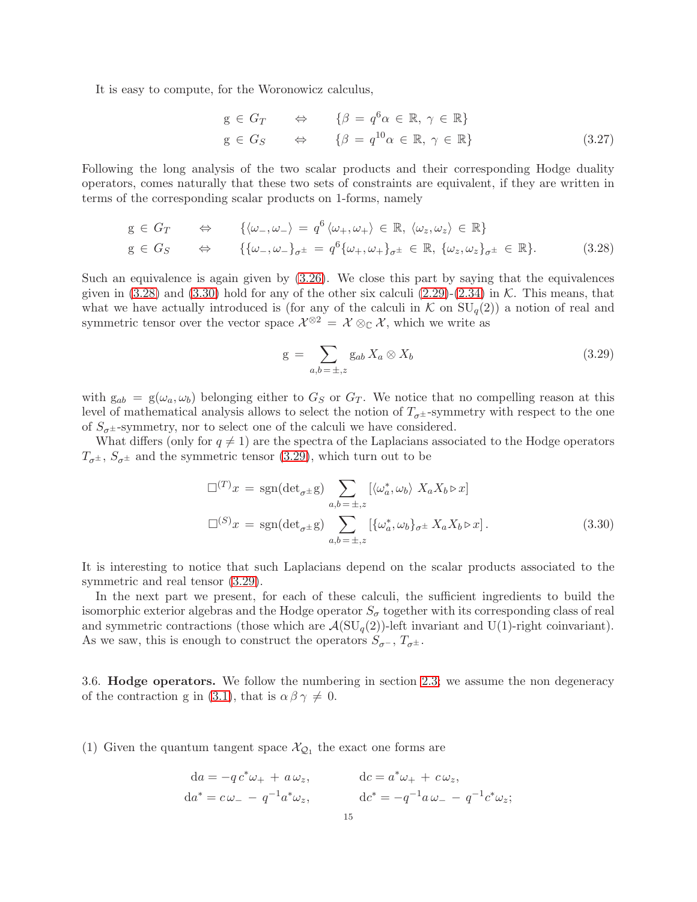It is easy to compute, for the Woronowicz calculus,

$$
g \in G_T \qquad \Leftrightarrow \qquad {\beta = q^6 \alpha \in \mathbb{R}, \, \gamma \in \mathbb{R}}
$$
  

$$
g \in G_S \qquad \Leftrightarrow \qquad {\beta = q^{10} \alpha \in \mathbb{R}, \, \gamma \in \mathbb{R}}
$$
  

$$
(3.27)
$$

Following the long analysis of the two scalar products and their corresponding Hodge duality operators, comes naturally that these two sets of constraints are equivalent, if they are written in terms of the corresponding scalar products on 1-forms, namely

$$
g \in G_T \qquad \Leftrightarrow \qquad \{ \langle \omega_-, \omega_- \rangle = q^6 \langle \omega_+, \omega_+ \rangle \in \mathbb{R}, \langle \omega_z, \omega_z \rangle \in \mathbb{R} \}
$$
  

$$
g \in G_S \qquad \Leftrightarrow \qquad \{ \{ \omega_-, \omega_- \}_{\sigma^{\pm}} = q^6 \{ \omega_+, \omega_+ \}_{\sigma^{\pm}} \in \mathbb{R}, \{ \omega_z, \omega_z \}_{\sigma^{\pm}} \in \mathbb{R} \}.
$$
 (3.28)

Such an equivalence is again given by [\(3.26\)](#page-13-3). We close this part by saying that the equivalences given in  $(3.28)$  and  $(3.30)$  hold for any of the other six calculi  $(2.29)-(2.34)$  $(2.29)-(2.34)$  in K. This means, that what we have actually introduced is (for any of the calculi in  $K$  on  $SU_q(2)$ ) a notion of real and symmetric tensor over the vector space  $\mathcal{X}^{\otimes 2} = \mathcal{X} \otimes_{\mathbb{C}} \mathcal{X}$ , which we write as

<span id="page-14-3"></span><span id="page-14-2"></span><span id="page-14-1"></span>
$$
g = \sum_{a,b=\pm,z} g_{ab} X_a \otimes X_b \tag{3.29}
$$

with  $g_{ab} = g(\omega_a, \omega_b)$  belonging either to  $G_S$  or  $G_T$ . We notice that no compelling reason at this level of mathematical analysis allows to select the notion of  $T_{\sigma^{\pm}}$ -symmetry with respect to the one of  $S_{\sigma^{\pm}}$ -symmetry, nor to select one of the calculi we have considered.

What differs (only for  $q \neq 1$ ) are the spectra of the Laplacians associated to the Hodge operators  $T_{\sigma^{\pm}}$ ,  $S_{\sigma^{\pm}}$  and the symmetric tensor [\(3.29\)](#page-14-3), which turn out to be

$$
\Box^{(T)}x = \text{sgn}(\det_{\sigma^{\pm}}g) \sum_{a,b=\pm,z} [\langle \omega_a^*, \omega_b \rangle \ X_a X_b \triangleright x]
$$
  

$$
\Box^{(S)}x = \text{sgn}(\det_{\sigma^{\pm}}g) \sum_{a,b=\pm,z} [\{\omega_a^*, \omega_b\}_{\sigma^{\pm}} X_a X_b \triangleright x].
$$
 (3.30)

It is interesting to notice that such Laplacians depend on the scalar products associated to the symmetric and real tensor [\(3.29\)](#page-14-3).

In the next part we present, for each of these calculi, the sufficient ingredients to build the isomorphic exterior algebras and the Hodge operator  $S_{\sigma}$  together with its corresponding class of real and symmetric contractions (those which are  $\mathcal{A}(\mathrm{SU}_q(2))$ -left invariant and U(1)-right coinvariant). As we saw, this is enough to construct the operators  $S_{\sigma}$ -,  $T_{\sigma}$ ±.

<span id="page-14-0"></span>3.6. Hodge operators. We follow the numbering in section [2.3;](#page-5-0) we assume the non degeneracy of the contraction g in [\(3.1\)](#page-9-2), that is  $\alpha \beta \gamma \neq 0$ .

(1) Given the quantum tangent space  $\mathcal{X}_{\mathcal{Q}_1}$  the exact one forms are

$$
da = -q c^* \omega_+ + a \omega_z, da^* = c \omega_- - q^{-1} a^* \omega_z, de^* = -q^{-1} a \omega_- - q^{-1} c^* \omega_z;
$$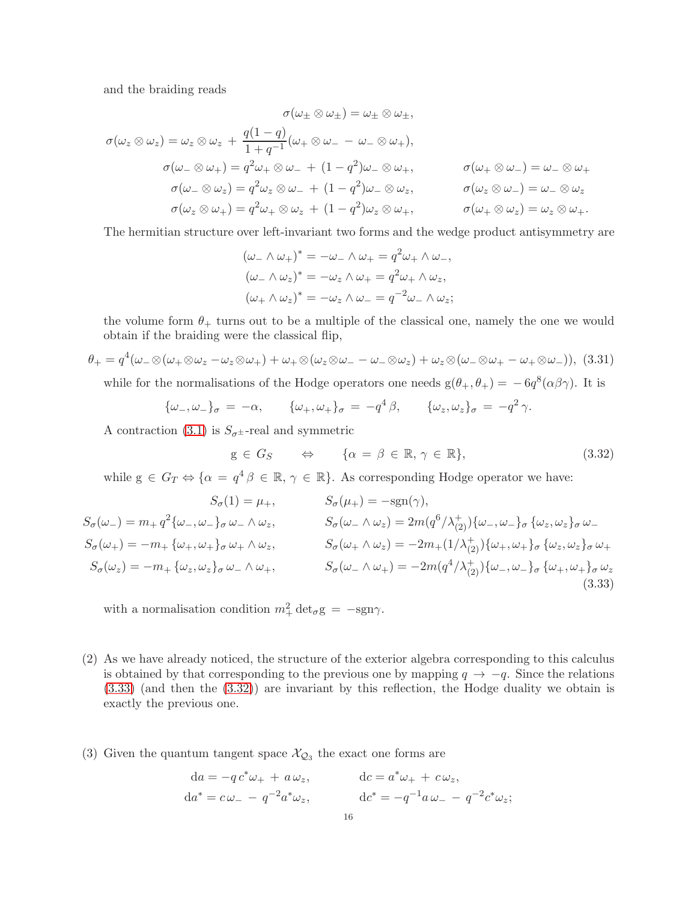and the braiding reads

$$
\sigma(\omega_{\pm} \otimes \omega_{\pm}) = \omega_{\pm} \otimes \omega_{\pm},
$$
  
\n
$$
\sigma(\omega_{z} \otimes \omega_{z}) = \omega_{z} \otimes \omega_{z} + \frac{q(1-q)}{1+q^{-1}}(\omega_{+} \otimes \omega_{-} - \omega_{-} \otimes \omega_{+}),
$$
  
\n
$$
\sigma(\omega_{-} \otimes \omega_{+}) = q^{2}\omega_{+} \otimes \omega_{-} + (1-q^{2})\omega_{-} \otimes \omega_{+},
$$
  
\n
$$
\sigma(\omega_{-} \otimes \omega_{z}) = q^{2}\omega_{z} \otimes \omega_{-} + (1-q^{2})\omega_{-} \otimes \omega_{z},
$$
  
\n
$$
\sigma(\omega_{z} \otimes \omega_{+}) = q^{2}\omega_{+} \otimes \omega_{z} + (1-q^{2})\omega_{z} \otimes \omega_{+},
$$
  
\n
$$
\sigma(\omega_{+} \otimes \omega_{z}) = \omega_{z} \otimes \omega_{+}.
$$
  
\n
$$
\sigma(\omega_{+} \otimes \omega_{z}) = \omega_{z} \otimes \omega_{+}.
$$

The hermitian structure over left-invariant two forms and the wedge product antisymmetry are

$$
(\omega_- \wedge \omega_+)^* = -\omega_- \wedge \omega_+ = q^2 \omega_+ \wedge \omega_-,
$$
  

$$
(\omega_- \wedge \omega_z)^* = -\omega_z \wedge \omega_+ = q^2 \omega_+ \wedge \omega_z,
$$
  

$$
(\omega_+ \wedge \omega_z)^* = -\omega_z \wedge \omega_- = q^{-2} \omega_- \wedge \omega_z;
$$

the volume form  $\theta_+$  turns out to be a multiple of the classical one, namely the one we would obtain if the braiding were the classical flip,

<span id="page-15-2"></span>
$$
\theta_{+} = q^{4}(\omega_{-}\otimes(\omega_{+}\otimes\omega_{z}-\omega_{z}\otimes\omega_{+})+\omega_{+}\otimes(\omega_{z}\otimes\omega_{-}-\omega_{-}\otimes\omega_{z})+\omega_{z}\otimes(\omega_{-}\otimes\omega_{+}-\omega_{+}\otimes\omega_{-})),
$$
(3.31)

while for the normalisations of the Hodge operators one needs  $g(\theta_+,\theta_+) = -6q^8(\alpha\beta\gamma)$ . It is

$$
\{\omega_-, \omega_-\}_\sigma = -\alpha, \qquad \{\omega_+, \omega_+\}_\sigma = -q^4\beta, \qquad \{\omega_z, \omega_z\}_\sigma = -q^2\gamma.
$$

A contraction [\(3.1\)](#page-9-2) is  $S_{\sigma^{\pm}}$ -real and symmetric

<span id="page-15-1"></span><span id="page-15-0"></span>
$$
g \in G_S \qquad \Leftrightarrow \qquad \{\alpha = \beta \in \mathbb{R}, \gamma \in \mathbb{R}\},\tag{3.32}
$$

while  $g \in G_T \Leftrightarrow {\alpha = q^4 \beta \in \mathbb{R}, \gamma \in \mathbb{R}}$ . As corresponding Hodge operator we have:

$$
S_{\sigma}(1) = \mu_{+}, \qquad S_{\sigma}(\mu_{+}) = -\text{sgn}(\gamma),
$$
  
\n
$$
S_{\sigma}(\omega_{-}) = m_{+} q^{2} \{\omega_{-}, \omega_{-}\}_{\sigma} \omega_{-} \wedge \omega_{z}, \qquad S_{\sigma}(\omega_{-} \wedge \omega_{z}) = 2m(q^{6}/\lambda_{(2)}^{+})\{\omega_{-}, \omega_{-}\}_{\sigma} \{\omega_{z}, \omega_{z}\}_{\sigma} \omega_{-}
$$
  
\n
$$
S_{\sigma}(\omega_{+}) = -m_{+} \{\omega_{+}, \omega_{+}\}_{\sigma} \omega_{+} \wedge \omega_{z}, \qquad S_{\sigma}(\omega_{+} \wedge \omega_{z}) = -2m_{+}(1/\lambda_{(2)}^{+})\{\omega_{+}, \omega_{+}\}_{\sigma} \{\omega_{z}, \omega_{z}\}_{\sigma} \omega_{+}
$$
  
\n
$$
S_{\sigma}(\omega_{z}) = -m_{+} \{\omega_{z}, \omega_{z}\}_{\sigma} \omega_{-} \wedge \omega_{+}, \qquad S_{\sigma}(\omega_{-} \wedge \omega_{+}) = -2m(q^{4}/\lambda_{(2)}^{+})\{\omega_{-}, \omega_{-}\}_{\sigma} \{\omega_{+}, \omega_{+}\}_{\sigma} \omega_{z}
$$
  
\n(3.33)

with a normalisation condition  $m_+^2 \det_{\sigma} g = -sgn\gamma$ .

- (2) As we have already noticed, the structure of the exterior algebra corresponding to this calculus is obtained by that corresponding to the previous one by mapping  $q \to -q$ . Since the relations [\(3.33\)](#page-15-0) (and then the [\(3.32\)](#page-15-1)) are invariant by this reflection, the Hodge duality we obtain is exactly the previous one.
- (3) Given the quantum tangent space  $\mathcal{X}_{\mathcal{Q}_3}$  the exact one forms are

$$
da = -q c^* \omega_+ + a \omega_z, da^* = c \omega_- - q^{-2} a^* \omega_z, de^* = -q^{-1} a \omega_- - q^{-2} c^* \omega_z;
$$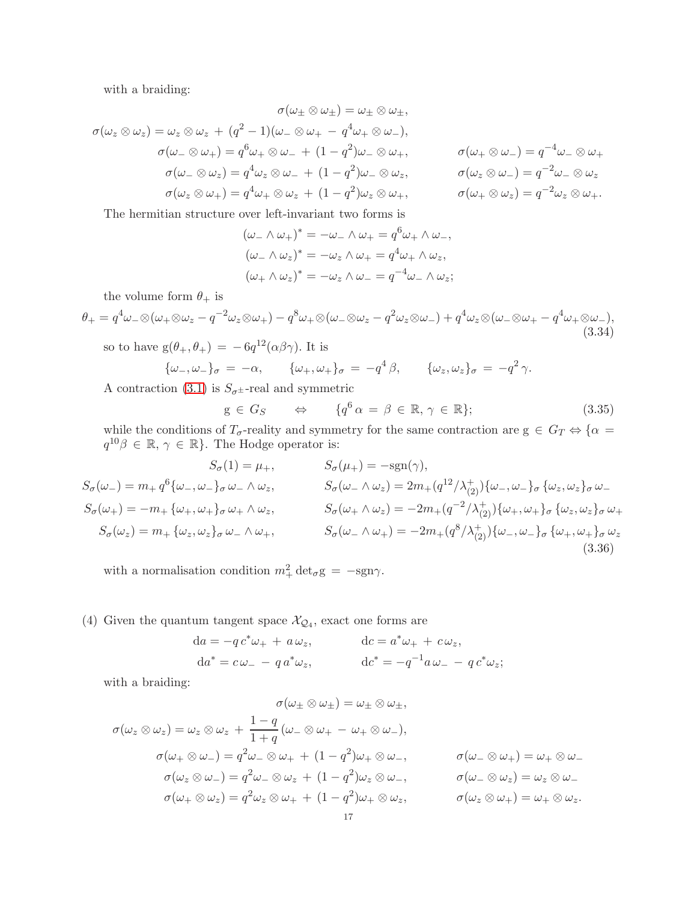with a braiding:

$$
\sigma(\omega_{\pm} \otimes \omega_{\pm}) = \omega_{\pm} \otimes \omega_{\pm},
$$
  
\n
$$
\sigma(\omega_{z} \otimes \omega_{z}) = \omega_{z} \otimes \omega_{z} + (q^{2} - 1)(\omega_{-} \otimes \omega_{+} - q^{4}\omega_{+} \otimes \omega_{-}),
$$
  
\n
$$
\sigma(\omega_{-} \otimes \omega_{+}) = q^{6}\omega_{+} \otimes \omega_{-} + (1 - q^{2})\omega_{-} \otimes \omega_{+},
$$
  
\n
$$
\sigma(\omega_{-} \otimes \omega_{z}) = q^{4}\omega_{z} \otimes \omega_{-} + (1 - q^{2})\omega_{-} \otimes \omega_{z},
$$
  
\n
$$
\sigma(\omega_{z} \otimes \omega_{-}) = q^{-2}\omega_{-} \otimes \omega_{z}
$$
  
\n
$$
\sigma(\omega_{z} \otimes \omega_{+}) = q^{4}\omega_{+} \otimes \omega_{z} + (1 - q^{2})\omega_{z} \otimes \omega_{+},
$$
  
\n
$$
\sigma(\omega_{+} \otimes \omega_{z}) = q^{-2}\omega_{z} \otimes \omega_{+}.
$$

The hermitian structure over left-invariant two forms is

$$
(\omega_- \wedge \omega_+)^* = -\omega_- \wedge \omega_+ = q^6 \omega_+ \wedge \omega_-,
$$
  

$$
(\omega_- \wedge \omega_z)^* = -\omega_z \wedge \omega_+ = q^4 \omega_+ \wedge \omega_z,
$$
  

$$
(\omega_+ \wedge \omega_z)^* = -\omega_z \wedge \omega_- = q^{-4} \omega_- \wedge \omega_z;
$$

the volume form  $\theta_+$  is

<span id="page-16-0"></span>
$$
\theta_{+} = q^{4}\omega_{-}\otimes(\omega_{+}\otimes\omega_{z} - q^{-2}\omega_{z}\otimes\omega_{+}) - q^{8}\omega_{+}\otimes(\omega_{-}\otimes\omega_{z} - q^{2}\omega_{z}\otimes\omega_{-}) + q^{4}\omega_{z}\otimes(\omega_{-}\otimes\omega_{+} - q^{4}\omega_{+}\otimes\omega_{-}),
$$
\n(3.34)

so to have  $g(\theta_+,\theta_+) = -6q^{12}(\alpha\beta\gamma)$ . It is

$$
\{\omega_-, \omega_-\}_\sigma = -\alpha, \qquad \{\omega_+, \omega_+\}_\sigma = -q^4\beta, \qquad \{\omega_z, \omega_z\}_\sigma = -q^2\gamma.
$$

A contraction [\(3.1\)](#page-9-2) is  $S_{\sigma^{\pm}}$ -real and symmetric

$$
g \in G_S \qquad \Leftrightarrow \qquad \{q^6 \alpha = \beta \in \mathbb{R}, \gamma \in \mathbb{R}\};\tag{3.35}
$$

while the conditions of  $T_{\sigma}$ -reality and symmetry for the same contraction are  $g \in G_T \Leftrightarrow \{\alpha =$  $q^{10}\beta \in \mathbb{R}, \gamma \in \mathbb{R}$ . The Hodge operator is:

$$
S_{\sigma}(1) = \mu_{+}, \qquad S_{\sigma}(\mu_{+}) = -\text{sgn}(\gamma),
$$
  
\n
$$
S_{\sigma}(\omega_{-}) = m_{+} q^{6} \{\omega_{-}, \omega_{-}\}_{\sigma} \omega_{-} \wedge \omega_{z}, \qquad S_{\sigma}(\omega_{-} \wedge \omega_{z}) = 2m_{+}(q^{12}/\lambda_{(2)}^{+})\{\omega_{-}, \omega_{-}\}_{\sigma} \{\omega_{z}, \omega_{z}\}_{\sigma} \omega_{-}
$$
  
\n
$$
S_{\sigma}(\omega_{+}) = -m_{+} \{\omega_{+}, \omega_{+}\}_{\sigma} \omega_{+} \wedge \omega_{z}, \qquad S_{\sigma}(\omega_{+} \wedge \omega_{z}) = -2m_{+}(q^{-2}/\lambda_{(2)}^{+})\{\omega_{+}, \omega_{+}\}_{\sigma} \{\omega_{z}, \omega_{z}\}_{\sigma} \omega_{+}
$$
  
\n
$$
S_{\sigma}(\omega_{z}) = m_{+} \{\omega_{z}, \omega_{z}\}_{\sigma} \omega_{-} \wedge \omega_{+}, \qquad S_{\sigma}(\omega_{-} \wedge \omega_{+}) = -2m_{+}(q^{8}/\lambda_{(2)}^{+})\{\omega_{-}, \omega_{-}\}_{\sigma} \{\omega_{+}, \omega_{+}\}_{\sigma} \omega_{z}
$$
  
\n(3.36)

with a normalisation condition  $m_+^2 \det_{\sigma} g = -sgn\gamma$ .

(4) Given the quantum tangent space  $\mathcal{X}_{\mathcal{Q}_4}$ , exact one forms are

$$
da = -q c^* \omega_+ + a \omega_z, \qquad dc = a^* \omega_+ + c \omega_z,
$$
  

$$
da^* = c \omega_- - q a^* \omega_z, \qquad dc^* = -q^{-1} a \omega_- - q c^* \omega_z;
$$

with a braiding:

$$
\sigma(\omega_{\pm} \otimes \omega_{\pm}) = \omega_{\pm} \otimes \omega_{\pm},
$$
  
\n
$$
\sigma(\omega_{z} \otimes \omega_{z}) = \omega_{z} \otimes \omega_{z} + \frac{1-q}{1+q} (\omega_{-} \otimes \omega_{+} - \omega_{+} \otimes \omega_{-}),
$$
  
\n
$$
\sigma(\omega_{+} \otimes \omega_{-}) = q^{2} \omega_{-} \otimes \omega_{+} + (1-q^{2}) \omega_{+} \otimes \omega_{-},
$$
  
\n
$$
\sigma(\omega_{z} \otimes \omega_{-}) = q^{2} \omega_{-} \otimes \omega_{z} + (1-q^{2}) \omega_{z} \otimes \omega_{-},
$$
  
\n
$$
\sigma(\omega_{-} \otimes \omega_{z}) = \omega_{z} \otimes \omega_{-}
$$
  
\n
$$
\sigma(\omega_{+} \otimes \omega_{z}) = q^{2} \omega_{z} \otimes \omega_{+} + (1-q^{2}) \omega_{+} \otimes \omega_{z},
$$
  
\n
$$
\sigma(\omega_{z} \otimes \omega_{+}) = \omega_{+} \otimes \omega_{z}.
$$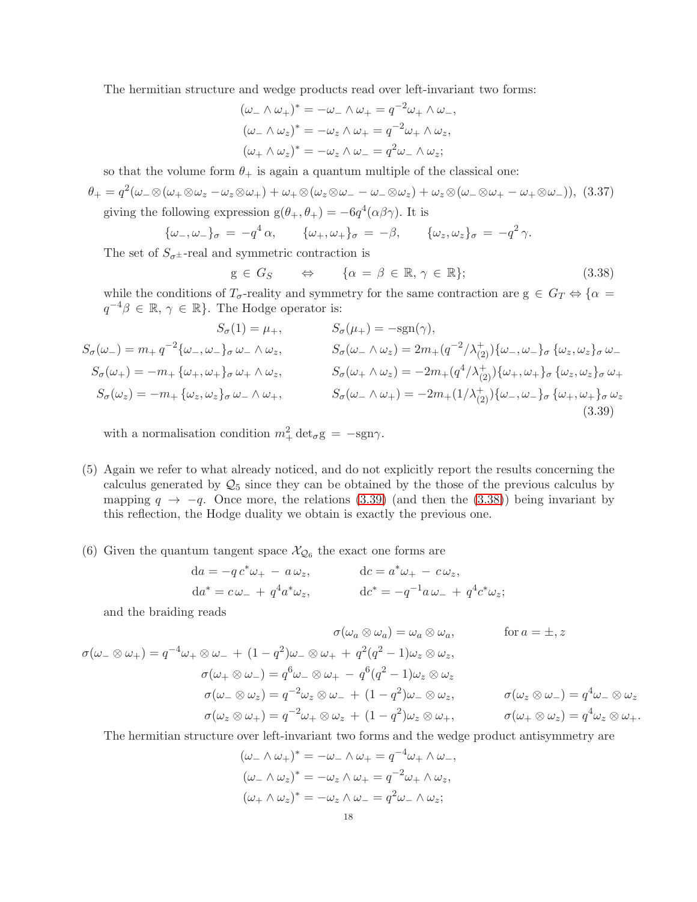The hermitian structure and wedge products read over left-invariant two forms:

$$
(\omega_- \wedge \omega_+)^* = -\omega_- \wedge \omega_+ = q^{-2}\omega_+ \wedge \omega_-,
$$
  
\n
$$
(\omega_- \wedge \omega_z)^* = -\omega_z \wedge \omega_+ = q^{-2}\omega_+ \wedge \omega_z,
$$
  
\n
$$
(\omega_+ \wedge \omega_z)^* = -\omega_z \wedge \omega_- = q^2\omega_- \wedge \omega_z;
$$

so that the volume form  $\theta_+$  is again a quantum multiple of the classical one:

<span id="page-17-2"></span>
$$
\theta_+ = q^2(\omega_-\otimes(\omega_+\otimes\omega_z-\omega_z\otimes\omega_+) + \omega_+\otimes(\omega_z\otimes\omega_--\omega_-\otimes\omega_z) + \omega_z\otimes(\omega_-\otimes\omega_+-\omega_+\otimes\omega_-)),
$$
 (3.37) giving the following expression  $g(\theta_+,\theta_+) = -6q^4(\alpha\beta\gamma)$ . It is

 $\{\omega_-, \omega_-\}_\sigma = -q^4 \alpha, \qquad {\{\omega_+, \omega_+\}}_\sigma = -\beta, \qquad {\{\omega_z, \omega_z\}}_\sigma = -q^2 \gamma.$ 

The set of  $S_{\sigma^{\pm}}$ -real and symmetric contraction is

<span id="page-17-1"></span><span id="page-17-0"></span>
$$
g \in G_S \qquad \Leftrightarrow \qquad \{ \alpha = \beta \in \mathbb{R}, \, \gamma \in \mathbb{R} \}; \tag{3.38}
$$

while the conditions of  $T_{\sigma}$ -reality and symmetry for the same contraction are  $g \in G_T \Leftrightarrow \{\alpha =$  $q^{-4}\beta \in \mathbb{R}, \gamma \in \mathbb{R}$ . The Hodge operator is:

$$
S_{\sigma}(1) = \mu_{+}, \qquad S_{\sigma}(\mu_{+}) = -\text{sgn}(\gamma),
$$
  
\n
$$
S_{\sigma}(\omega_{-}) = m_{+} q^{-2} \{\omega_{-}, \omega_{-}\}_{\sigma} \omega_{-} \wedge \omega_{z}, \qquad S_{\sigma}(\omega_{-} \wedge \omega_{z}) = 2m_{+}(q^{-2}/\lambda_{(2)}^{+})\{\omega_{-}, \omega_{-}\}_{\sigma} \{\omega_{z}, \omega_{z}\}_{\sigma} \omega_{-}
$$
  
\n
$$
S_{\sigma}(\omega_{+}) = -m_{+} \{\omega_{+}, \omega_{+}\}_{\sigma} \omega_{+} \wedge \omega_{z}, \qquad S_{\sigma}(\omega_{+} \wedge \omega_{z}) = -2m_{+}(q^{4}/\lambda_{(2)}^{+})\{\omega_{+}, \omega_{+}\}_{\sigma} \{\omega_{z}, \omega_{z}\}_{\sigma} \omega_{+}
$$
  
\n
$$
S_{\sigma}(\omega_{z}) = -m_{+} \{\omega_{z}, \omega_{z}\}_{\sigma} \omega_{-} \wedge \omega_{+}, \qquad S_{\sigma}(\omega_{-} \wedge \omega_{+}) = -2m_{+}(1/\lambda_{(2)}^{+})\{\omega_{-}, \omega_{-}\}_{\sigma} \{\omega_{+}, \omega_{+}\}_{\sigma} \omega_{z}
$$
  
\n(3.39)

with a normalisation condition  $m_+^2 \det_{\sigma} g = -sgn\gamma$ .

- (5) Again we refer to what already noticed, and do not explicitly report the results concerning the calculus generated by  $\mathcal{Q}_5$  since they can be obtained by the those of the previous calculus by mapping  $q \rightarrow -q$ . Once more, the relations [\(3.39\)](#page-17-0) (and then the [\(3.38\)](#page-17-1)) being invariant by this reflection, the Hodge duality we obtain is exactly the previous one.
- (6) Given the quantum tangent space  $\mathcal{X}_{\mathcal{Q}_6}$  the exact one forms are

$$
da = -q c^* \omega_+ - a \omega_z, da^* = c \omega_- + q^4 a^* \omega_z, de^* = -q^{-1} a \omega_- + q^4 c^* \omega_z;
$$

and the braiding reads

$$
\sigma(\omega_a \otimes \omega_a) = \omega_a \otimes \omega_a, \qquad \text{for } a = \pm, z
$$
  

$$
\sigma(\omega_- \otimes \omega_+) = q^{-4}\omega_+ \otimes \omega_- + (1 - q^2)\omega_- \otimes \omega_+ + q^2(q^2 - 1)\omega_z \otimes \omega_z,
$$
  

$$
\sigma(\omega_+ \otimes \omega_-) = q^6\omega_- \otimes \omega_+ - q^6(q^2 - 1)\omega_z \otimes \omega_z
$$
  

$$
\sigma(\omega_- \otimes \omega_z) = q^{-2}\omega_z \otimes \omega_- + (1 - q^2)\omega_- \otimes \omega_z, \qquad \sigma(\omega_z \otimes \omega_-) = q^4\omega_- \otimes \omega_z
$$
  

$$
\sigma(\omega_z \otimes \omega_+) = q^{-2}\omega_+ \otimes \omega_z + (1 - q^2)\omega_z \otimes \omega_+, \qquad \sigma(\omega_+ \otimes \omega_z) = q^4\omega_z \otimes \omega_+.
$$

The hermitian structure over left-invariant two forms and the wedge product antisymmetry are

$$
(\omega_- \wedge \omega_+)^* = -\omega_- \wedge \omega_+ = q^{-4}\omega_+ \wedge \omega_-,
$$
  

$$
(\omega_- \wedge \omega_z)^* = -\omega_z \wedge \omega_+ = q^{-2}\omega_+ \wedge \omega_z,
$$
  

$$
(\omega_+ \wedge \omega_z)^* = -\omega_z \wedge \omega_- = q^2\omega_- \wedge \omega_z;
$$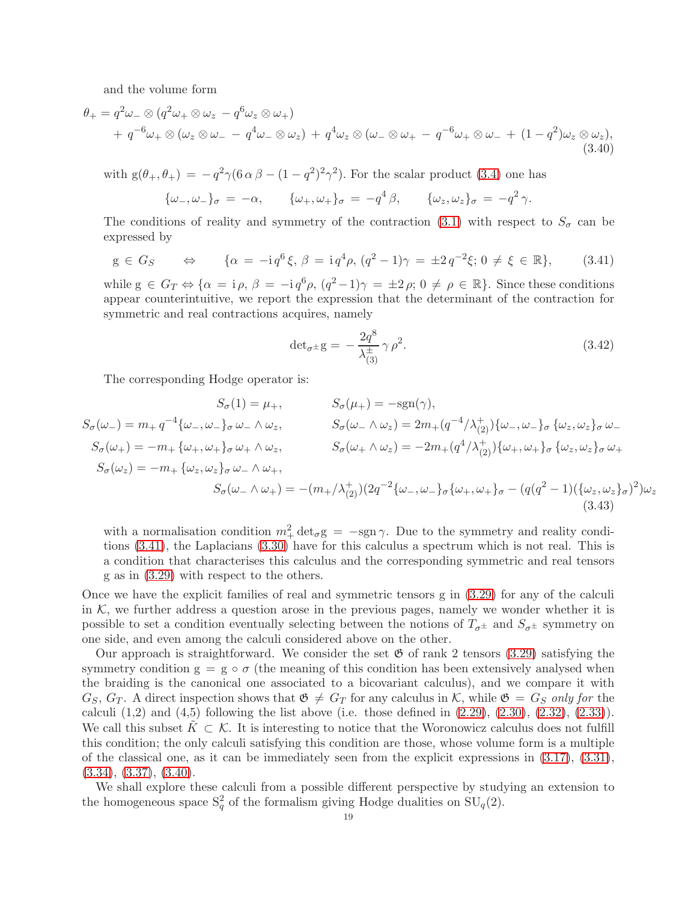and the volume form

$$
\theta_{+} = q^{2}\omega_{-} \otimes (q^{2}\omega_{+} \otimes \omega_{z} - q^{6}\omega_{z} \otimes \omega_{+})
$$
  
+ 
$$
q^{-6}\omega_{+} \otimes (\omega_{z} \otimes \omega_{-} - q^{4}\omega_{-} \otimes \omega_{z}) + q^{4}\omega_{z} \otimes (\omega_{-} \otimes \omega_{+} - q^{-6}\omega_{+} \otimes \omega_{-} + (1 - q^{2})\omega_{z} \otimes \omega_{z}),
$$
(3.40)

with  $g(\theta_+,\theta_+) = -q^2\gamma(6\alpha\beta-(1-q^2)^2\gamma^2)$ . For the scalar product [\(3.4\)](#page-9-3) one has

$$
\{\omega_-, \omega_-\}_\sigma = -\alpha, \qquad \{\omega_+, \omega_+\}_\sigma = -q^4\beta, \qquad \{\omega_z, \omega_z\}_\sigma = -q^2\gamma.
$$

The conditions of reality and symmetry of the contraction [\(3.1\)](#page-9-2) with respect to  $S_{\sigma}$  can be expressed by

<span id="page-18-0"></span>
$$
g \in G_S \qquad \Leftrightarrow \qquad \{ \alpha = -i q^6 \xi, \, \beta = i q^4 \rho, \, (q^2 - 1) \gamma = \pm 2 q^{-2} \xi; \, 0 \neq \xi \in \mathbb{R} \}, \qquad (3.41)
$$

while  $g \in G_T \Leftrightarrow {\alpha = i \rho, \beta = -i q^6 \rho, (q^2-1) \gamma = \pm 2 \rho; 0 \neq \rho \in \mathbb{R}}$ . Since these conditions appear counterintuitive, we report the expression that the determinant of the contraction for symmetric and real contractions acquires, namely

<span id="page-18-1"></span>
$$
\det_{\sigma^{\pm}} g = -\frac{2q^8}{\lambda_{(3)}^{\pm}} \gamma \rho^2. \tag{3.42}
$$

The corresponding Hodge operator is:

$$
S_{\sigma}(1) = \mu_{+}, \qquad S_{\sigma}(\mu_{+}) = -sgn(\gamma),
$$
  
\n
$$
S_{\sigma}(\omega_{-}) = m_{+} q^{-4} \{\omega_{-}, \omega_{-}\}_{\sigma} \omega_{-} \wedge \omega_{z}, \qquad S_{\sigma}(\omega_{-} \wedge \omega_{z}) = 2m_{+}(q^{-4}/\lambda_{(2)}^{+}) \{\omega_{-}, \omega_{-}\}_{\sigma} \{\omega_{z}, \omega_{z}\}_{\sigma} \omega_{-}
$$
  
\n
$$
S_{\sigma}(\omega_{+}) = -m_{+} \{\omega_{+}, \omega_{+}\}_{\sigma} \omega_{+} \wedge \omega_{z}, \qquad S_{\sigma}(\omega_{+} \wedge \omega_{z}) = -2m_{+}(q^{4}/\lambda_{(2)}^{+}) \{\omega_{+}, \omega_{+}\}_{\sigma} \{\omega_{z}, \omega_{z}\}_{\sigma} \omega_{+}
$$
  
\n
$$
S_{\sigma}(\omega_{z}) = -m_{+} \{\omega_{z}, \omega_{z}\}_{\sigma} \omega_{-} \wedge \omega_{+},
$$
  
\n
$$
S_{\sigma}(\omega_{-} \wedge \omega_{+}) = -(m_{+}/\lambda_{(2)}^{+})(2q^{-2} \{\omega_{-}, \omega_{-}\}_{\sigma} \{\omega_{+}, \omega_{+}\}_{\sigma} - (q(q^{2} - 1)(\{\omega_{z}, \omega_{z}\}_{\sigma})^{2})\omega_{z}
$$
  
\n(3.43)

with a normalisation condition  $m_+^2 \det_{\sigma} g = -sgn \gamma$ . Due to the symmetry and reality conditions [\(3.41\)](#page-18-0), the Laplacians [\(3.30\)](#page-14-2) have for this calculus a spectrum which is not real. This is a condition that characterises this calculus and the corresponding symmetric and real tensors g as in [\(3.29\)](#page-14-3) with respect to the others.

Once we have the explicit families of real and symmetric tensors g in [\(3.29\)](#page-14-3) for any of the calculi in  $K$ , we further address a question arose in the previous pages, namely we wonder whether it is possible to set a condition eventually selecting between the notions of  $T_{\sigma^{\pm}}$  and  $S_{\sigma^{\pm}}$  symmetry on one side, and even among the calculi considered above on the other.

Our approach is straightforward. We consider the set  $\mathfrak{G}$  of rank 2 tensors [\(3.29\)](#page-14-3) satisfying the symmetry condition  $g = g \circ \sigma$  (the meaning of this condition has been extensively analysed when the braiding is the canonical one associated to a bicovariant calculus), and we compare it with  $G_S, G_T$ . A direct inspection shows that  $\mathfrak{G} \neq G_T$  for any calculus in K, while  $\mathfrak{G} = G_S$  only for the calculi  $(1,2)$  and  $(4,5)$  following the list above (i.e. those defined in  $(2.29)$ ,  $(2.30)$ ,  $(2.32)$ ,  $(2.33)$ ). We call this subset  $K \subset \mathcal{K}$ . It is interesting to notice that the Woronowicz calculus does not fulfill this condition; the only calculi satisfying this condition are those, whose volume form is a multiple of the classical one, as it can be immediately seen from the explicit expressions in [\(3.17\)](#page-12-5), [\(3.31\)](#page-15-2),  $(3.34), (3.37), (3.40).$  $(3.34), (3.37), (3.40).$  $(3.34), (3.37), (3.40).$  $(3.34), (3.37), (3.40).$  $(3.34), (3.37), (3.40).$  $(3.34), (3.37), (3.40).$ 

We shall explore these calculi from a possible different perspective by studying an extension to the homogeneous space  $S_q^2$  of the formalism giving Hodge dualities on  $SU_q(2)$ .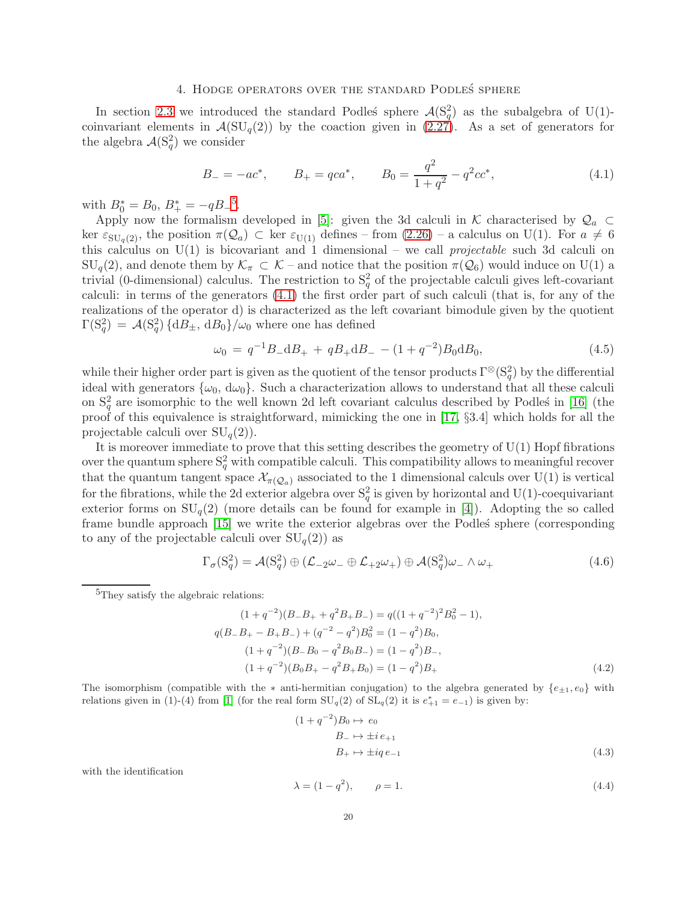### 4. HODGE OPERATORS OVER THE STANDARD PODLES SPHERE

<span id="page-19-0"></span>In section [2.3](#page-5-0) we introduced the standard Podles' sphere  $\mathcal{A}(S_q^2)$  as the subalgebra of U(1)coinvariant elements in  $\mathcal{A}(\mathrm{SU}_q(2))$  by the coaction given in  $(2.27)$ . As a set of generators for the algebra  $\mathcal{A}(S_q^2)$  we consider

<span id="page-19-2"></span>
$$
B_{-} = -ac^{*}, \qquad B_{+} = qca^{*}, \qquad B_{0} = \frac{q^{2}}{1+q^{2}} - q^{2}cc^{*}, \tag{4.1}
$$

with  $B_0^* = B_0, B_+^* = -qB_-^5$  $B_0^* = B_0, B_+^* = -qB_-^5$ .

Apply now the formalism developed in [\[5\]](#page-22-18): given the 3d calculi in K characterised by  $\mathcal{Q}_a$ ker  $\varepsilon_{\text{SU}_q(2)}$ , the position  $\pi(\mathcal{Q}_a) \subset \text{ker } \varepsilon_{\text{U}(1)}$  defines – from  $(2.26)$  – a calculus on U(1). For  $a \neq 6$ this calculus on  $U(1)$  is bicovariant and 1 dimensional – we call *projectable* such 3d calculi on  $\text{SU}_q(2)$ , and denote them by  $\mathcal{K}_\pi \subset \mathcal{K}$  – and notice that the position  $\pi(\mathcal{Q}_6)$  would induce on U(1) a trivial (0-dimensional) calculus. The restriction to  $S_q^2$  of the projectable calculi gives left-covariant calculi: in terms of the generators [\(4.1\)](#page-19-2) the first order part of such calculi (that is, for any of the realizations of the operator d) is characterized as the left covariant bimodule given by the quotient  $\Gamma(\mathrm{S}_q^2) = \mathcal{A}(\mathrm{S}_q^2) \{ \mathrm{d}B_{\pm}, \, \mathrm{d}B_0 \} / \omega_0$  where one has defined

$$
\omega_0 = q^{-1} B_- \mathrm{d}B_+ + q B_+ \mathrm{d}B_- - (1 + q^{-2}) B_0 \mathrm{d}B_0, \tag{4.5}
$$

while their higher order part is given as the quotient of the tensor products  $\Gamma^{\otimes}(S_q^2)$  by the differential ideal with generators  $\{\omega_0, d\omega_0\}$ . Such a characterization allows to understand that all these calculi on  $S_q^2$  are isomorphic to the well known 2d left covariant calculus described by Podles' in [\[16\]](#page-22-12) (the proof of this equivalence is straightforward, mimicking the one in [\[17,](#page-22-19) §3.4] which holds for all the projectable calculi over  $SU_q(2)$ .

It is moreover immediate to prove that this setting describes the geometry of  $U(1)$  Hopf fibrations over the quantum sphere  $S_q^2$  with compatible calculi. This compatibility allows to meaningful recover that the quantum tangent space  $\mathcal{X}_{\pi(\mathcal{Q}_a)}$  associated to the 1 dimensional calculs over U(1) is vertical for the fibrations, while the 2d exterior algebra over  $S_q^2$  is given by horizontal and U(1)-coequivariant exterior forms on  $SU_q(2)$  (more details can be found for example in [\[4\]](#page-22-20)). Adopting the so called frame bundle approach [\[15\]](#page-22-21) we write the exterior algebras over the Podles' sphere (corresponding to any of the projectable calculi over  $SU_q(2)$  as

<span id="page-19-3"></span>
$$
\Gamma_{\sigma}(S_q^2) = \mathcal{A}(S_q^2) \oplus (\mathcal{L}_{-2}\omega_- \oplus \mathcal{L}_{+2}\omega_+) \oplus \mathcal{A}(S_q^2)\omega_- \wedge \omega_+
$$
(4.6)

<span id="page-19-1"></span><sup>5</sup>They satisfy the algebraic relations:

$$
(1+q^{-2})(B_{-}B_{+} + q^{2}B_{+}B_{-}) = q((1+q^{-2})^{2}B_{0}^{2} - 1),
$$
  
\n
$$
q(B_{-}B_{+} - B_{+}B_{-}) + (q^{-2} - q^{2})B_{0}^{2} = (1-q^{2})B_{0},
$$
  
\n
$$
(1+q^{-2})(B_{-}B_{0} - q^{2}B_{0}B_{-}) = (1-q^{2})B_{-},
$$
  
\n
$$
(1+q^{-2})(B_{0}B_{+} - q^{2}B_{+}B_{0}) = (1-q^{2})B_{+}
$$
\n(4.2)

The isomorphism (compatible with the  $*$  anti-hermitian conjugation) to the algebra generated by  $\{e_{\pm 1}, e_0\}$  with relations given in (1)-(4) from [\[1\]](#page-22-22) (for the real form  $SU_q(2)$  of  $SL_q(2)$  it is  $e_{+1}^* = e_{-1}$ ) is given by:

$$
(1+q^{-2})B_0 \to e_0
$$
  
\n
$$
B_- \to \pm i e_{+1}
$$
  
\n
$$
B_+ \to \pm i q e_{-1}
$$
\n(4.3)

with the identification

$$
\lambda = (1 - q^2), \qquad \rho = 1. \tag{4.4}
$$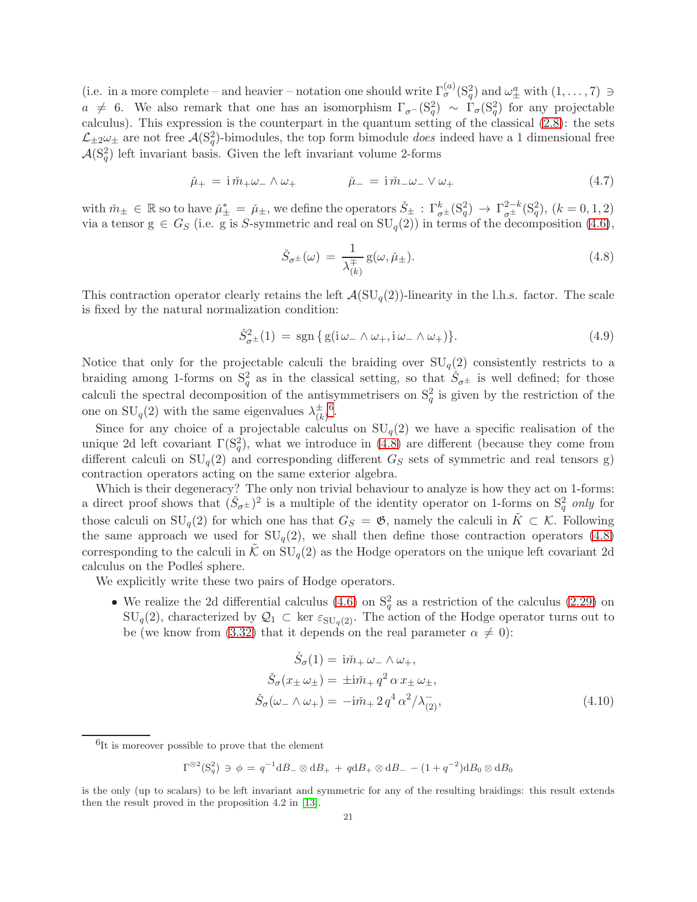(i.e. in a more complete – and heavier – notation one should write  $\Gamma_{\sigma}^{(a)}(S_q^2)$  and  $\omega_{\pm}^a$  with  $(1,\ldots,7) \ni$  $a \neq 6$ . We also remark that one has an isomorphism  $\Gamma_{\sigma}$ - $(S_q^2) \sim \Gamma_{\sigma}(S_q^2)$  for any projectable calculus). This expression is the counterpart in the quantum setting of the classical [\(2.8\)](#page-3-1): the sets  $\mathcal{L}_{\pm 2}\omega_{\pm}$  are not free  $\mathcal{A}(S_q^2)$ -bimodules, the top form bimodule *does* indeed have a 1 dimensional free  $\mathcal{A}(S_q^2)$  left invariant basis. Given the left invariant volume 2-forms

$$
\check{\mu}_{+} = i \check{m}_{+} \omega_{-} \wedge \omega_{+} \qquad \qquad \check{\mu}_{-} = i \check{m}_{-} \omega_{-} \vee \omega_{+} \tag{4.7}
$$

with  $\tilde{m}_{\pm} \in \mathbb{R}$  so to have  $\mu_{\pm}^* = \mu_{\pm}$ , we define the operators  $\check{S}_{\pm} : \Gamma^k_{\sigma^{\pm}}(S_q^2) \to \Gamma^{2-k}_{\sigma^{\pm}}(S_q^2)$ ,  $(k = 0, 1, 2)$ via a tensor  $g \in G_S$  (i.e. g is S-symmetric and real on  $SU_q(2)$ ) in terms of the decomposition [\(4.6\)](#page-19-3),

<span id="page-20-1"></span>
$$
\check{S}_{\sigma^{\pm}}(\omega) = \frac{1}{\lambda_{(k)}^{\pm}} g(\omega, \check{\mu}_{\pm}). \tag{4.8}
$$

This contraction operator clearly retains the left  $\mathcal{A}(\mathrm{SU}_q(2))$ -linearity in the l.h.s. factor. The scale is fixed by the natural normalization condition:

<span id="page-20-2"></span>
$$
\check{S}_{\sigma^{\pm}}^2(1) = \text{sgn}\left\{ \text{g}(i\,\omega_{-} \wedge \omega_{+}, i\,\omega_{-} \wedge \omega_{+}) \right\}.
$$
\n(4.9)

Notice that only for the projectable calculi the braiding over  $SU_q(2)$  consistently restricts to a braiding among 1-forms on  $S_q^2$  as in the classical setting, so that  $\check{S}_{\sigma^{\pm}}$  is well defined; for those calculi the spectral decomposition of the antisymmetrisers on  $S_q^2$  is given by the restriction of the one on  $SU_q(2)$  with the same eigenvalues  $\lambda_{(k)}^{\pm}$ (k) [6](#page-20-0) .

Since for any choice of a projectable calculus on  $SU_q(2)$  we have a specific realisation of the unique 2d left covariant  $\Gamma(\mathcal{S}_q^2)$ , what we introduce in [\(4.8\)](#page-20-1) are different (because they come from different calculi on  $SU_q(2)$  and corresponding different  $G_S$  sets of symmetric and real tensors g) contraction operators acting on the same exterior algebra.

Which is their degeneracy? The only non trivial behaviour to analyze is how they act on 1-forms: a direct proof shows that  $(\check{S}_{\sigma^{\pm}})^2$  is a multiple of the identity operator on 1-forms on  $S_q^2$  only for those calculi on  $SU_q(2)$  for which one has that  $G_S = \mathfrak{G}$ , namely the calculi in  $\tilde{K} \subset \mathcal{K}$ . Following the same approach we used for  $SU_q(2)$ , we shall then define those contraction operators [\(4.8\)](#page-20-1) corresponding to the calculi in K on  $SU_q(2)$  as the Hodge operators on the unique left covariant 2d calculus on the Podles' sphere.

We explicitly write these two pairs of Hodge operators.

• We realize the 2d differential calculus [\(4.6\)](#page-19-3) on  $S_q^2$  as a restriction of the calculus [\(2.29\)](#page-6-1) on  $\text{SU}_q(2)$ , characterized by  $\mathcal{Q}_1 \subset \text{ker } \varepsilon_{\text{SU}_q(2)}$ . The action of the Hodge operator turns out to be (we know from [\(3.32\)](#page-15-1) that it depends on the real parameter  $\alpha \neq 0$ ):

$$
\check{S}_{\sigma}(1) = i\check{m}_{+} \omega_{-} \wedge \omega_{+},
$$
\n
$$
\check{S}_{\sigma}(x_{\pm} \omega_{\pm}) = \pm i\check{m}_{+} q^{2} \alpha x_{\pm} \omega_{\pm},
$$
\n
$$
\check{S}_{\sigma}(\omega_{-} \wedge \omega_{+}) = -i\check{m}_{+} 2 q^{4} \alpha^{2} / \lambda_{(2)}^{-},
$$
\n(4.10)

<span id="page-20-0"></span><sup>6</sup>It is moreover possible to prove that the element

$$
\Gamma^{\otimes 2}(\mathcal{S}_q^2) \ni \phi = q^{-1} \mathrm{d}B_-\otimes \mathrm{d}B_+ + q \mathrm{d}B_+\otimes \mathrm{d}B_- - (1+q^{-2}) \mathrm{d}B_0 \otimes \mathrm{d}B_0
$$

is the only (up to scalars) to be left invariant and symmetric for any of the resulting braidings: this result extends then the result proved in the proposition 4.2 in [\[13\]](#page-22-7).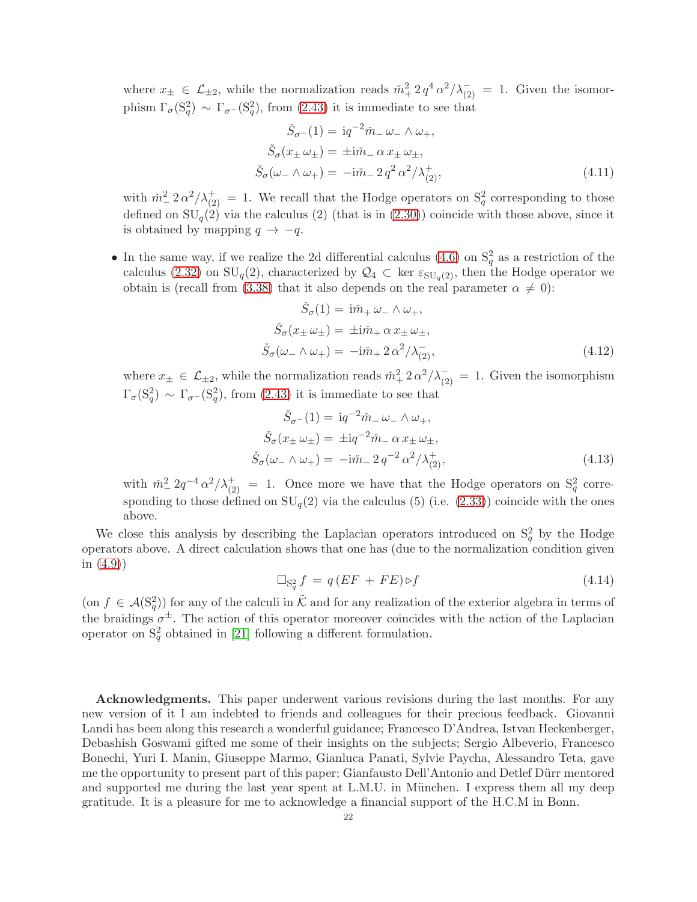where  $x_{\pm} \in \mathcal{L}_{\pm 2}$ , while the normalization reads  $\tilde{m}_+^2 2 q^4 \alpha^2 / \lambda_{(2)}^- = 1$ . Given the isomorphism  $\Gamma_{\sigma}$ (S<sup>2</sup><sub>q</sub>)</sup>  $\sim \Gamma_{\sigma}$ -(S<sup>2</sup><sub>q</sub>), from [\(2.43\)](#page-8-3) it is immediate to see that

$$
\check{S}_{\sigma^{-}}(1) = \mathrm{i}q^{-2}\check{m}_{-}\omega_{-} \wedge \omega_{+},
$$
\n
$$
\check{S}_{\sigma}(x_{\pm}\omega_{\pm}) = \pm \mathrm{i}\check{m}_{-}\alpha x_{\pm}\omega_{\pm},
$$
\n
$$
\check{S}_{\sigma}(\omega_{-} \wedge \omega_{+}) = -\mathrm{i}\check{m}_{-}2q^{2}\alpha^{2}/\lambda^{+}_{(2)},
$$
\n(4.11)

with  $\tilde{m}_{-}^2 2 \alpha^2 / \lambda_{(2)}^+ = 1$ . We recall that the Hodge operators on  $S_q^2$  corresponding to those defined on  $SU_q(2)$  via the calculus (2) (that is in [\(2.30\)](#page-7-3)) coincide with those above, since it is obtained by mapping  $q \rightarrow -q$ .

• In the same way, if we realize the 2d differential calculus  $(4.6)$  on  $S_q^2$  as a restriction of the calculus [\(2.32\)](#page-7-4) on  $SU_q(2)$ , characterized by  $\mathcal{Q}_4 \subset \text{ker } \varepsilon_{SU_q(2)}$ , then the Hodge operator we obtain is (recall from [\(3.38\)](#page-17-1) that it also depends on the real parameter  $\alpha \neq 0$ :

$$
\check{S}_{\sigma}(1) = i\check{m}_{+} \omega_{-} \wedge \omega_{+},
$$
\n
$$
\check{S}_{\sigma}(x_{\pm} \omega_{\pm}) = \pm i\check{m}_{+} \alpha x_{\pm} \omega_{\pm},
$$
\n
$$
\check{S}_{\sigma}(\omega_{-} \wedge \omega_{+}) = -i\check{m}_{+} 2 \alpha^{2} / \lambda_{(2)}^{-},
$$
\n(4.12)

where  $x_{\pm} \in \mathcal{L}_{\pm 2}$ , while the normalization reads  $\tilde{m}_{+}^{2} 2 \alpha^{2}/\lambda_{(2)}^{-} = 1$ . Given the isomorphism  $\Gamma_{\sigma}$ (S<sup>2</sup><sub>q</sub>)</sup> ~  $\Gamma_{\sigma}$ -(S<sup>2</sup><sub>q</sub>), from [\(2.43\)](#page-8-3) it is immediate to see that

$$
\check{S}_{\sigma-}(1) = \mathrm{i}q^{-2}\check{m}_{-}\omega_{-} \wedge \omega_{+},
$$
\n
$$
\check{S}_{\sigma}(x_{\pm}\omega_{\pm}) = \pm \mathrm{i}q^{-2}\check{m}_{-}\alpha x_{\pm}\omega_{\pm},
$$
\n
$$
\check{S}_{\sigma}(\omega_{-} \wedge \omega_{+}) = -\mathrm{i}\check{m}_{-}2q^{-2}\alpha^{2}/\lambda^{+}_{(2)},
$$
\n(4.13)

with  $\tilde{m}_-^2 2q^{-4} \alpha^2/\lambda_{(2)}^+ = 1$ . Once more we have that the Hodge operators on  $S_q^2$  corresponding to those defined on  $SU_q(2)$  via the calculus (5) (i.e. [\(2.33\)](#page-7-5)) coincide with the ones above.

We close this analysis by describing the Laplacian operators introduced on  $S_q^2$  by the Hodge operators above. A direct calculation shows that one has (due to the normalization condition given in [\(4.9\)](#page-20-2))

$$
\Box_{\mathcal{S}_q^2} f = q(EF + FE) \triangleright f \tag{4.14}
$$

(on  $f \in \mathcal{A}(\mathcal{S}_q^2)$ ) for any of the calculi in  $\tilde{\mathcal{K}}$  and for any realization of the exterior algebra in terms of the braidings  $\sigma^{\pm}$ . The action of this operator moreover coincides with the action of the Laplacian operator on  $S_q^2$  obtained in [\[21\]](#page-22-23) following a different formulation.

Acknowledgments. This paper underwent various revisions during the last months. For any new version of it I am indebted to friends and colleagues for their precious feedback. Giovanni Landi has been along this research a wonderful guidance; Francesco D'Andrea, Istvan Heckenberger, Debashish Goswami gifted me some of their insights on the subjects; Sergio Albeverio, Francesco Bonechi, Yuri I. Manin, Giuseppe Marmo, Gianluca Panati, Sylvie Paycha, Alessandro Teta, gave me the opportunity to present part of this paper; Gianfausto Dell'Antonio and Detlef Dürr mentored and supported me during the last year spent at L.M.U. in München. I express them all my deep gratitude. It is a pleasure for me to acknowledge a financial support of the H.C.M in Bonn.